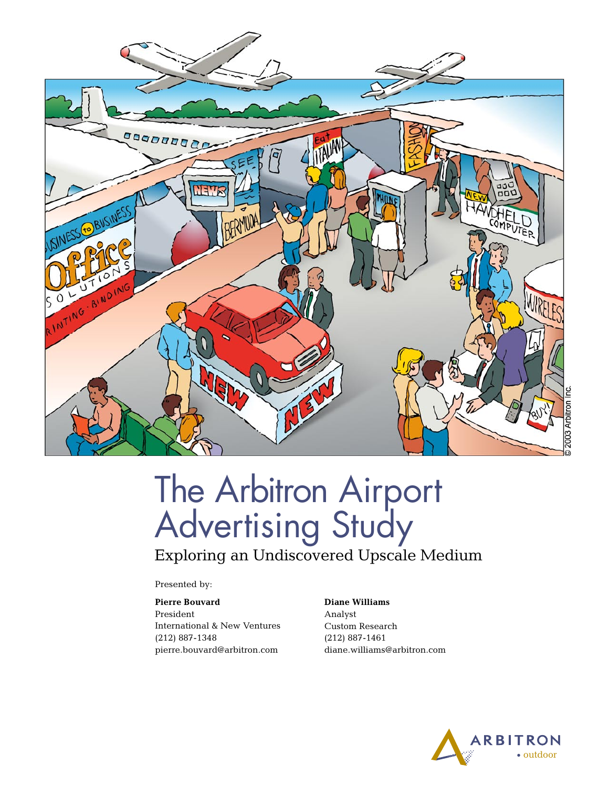

# The Arbitron Airport Advertising Study

Exploring an Undiscovered Upscale Medium

Presented by:

### **Pierre Bouvard**

President International & New Ventures (212) 887-1348 pierre.bouvard@arbitron.com

#### **Diane Williams** Analyst Custom Research (212) 887-1461 diane.williams@arbitron.com

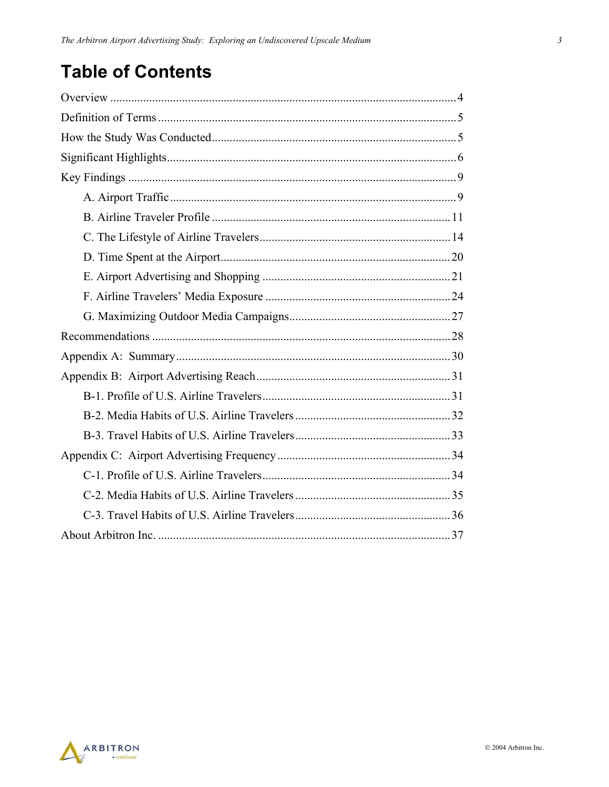## **Table of Contents**

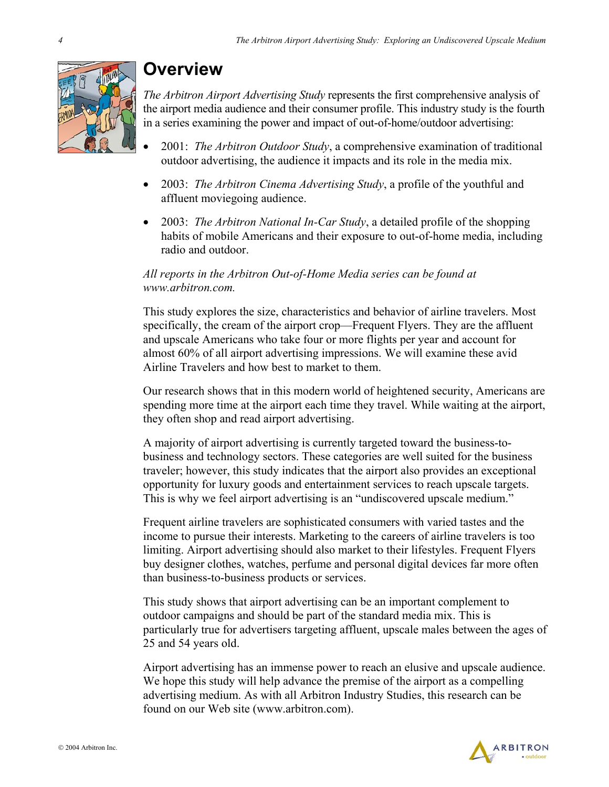

## **Overview**

*The Arbitron Airport Advertising Study* represents the first comprehensive analysis of the airport media audience and their consumer profile. This industry study is the fourth in a series examining the power and impact of out-of-home/outdoor advertising:

- 2001: *The Arbitron Outdoor Study*, a comprehensive examination of traditional outdoor advertising, the audience it impacts and its role in the media mix.
- 2003: *The Arbitron Cinema Advertising Study*, a profile of the youthful and affluent moviegoing audience.
- 2003: *The Arbitron National In-Car Study*, a detailed profile of the shopping habits of mobile Americans and their exposure to out-of-home media, including radio and outdoor.

### *All reports in the Arbitron Out-of-Home Media series can be found at www.arbitron.com.*

This study explores the size, characteristics and behavior of airline travelers. Most specifically, the cream of the airport crop—Frequent Flyers. They are the affluent and upscale Americans who take four or more flights per year and account for almost 60% of all airport advertising impressions. We will examine these avid Airline Travelers and how best to market to them.

Our research shows that in this modern world of heightened security, Americans are spending more time at the airport each time they travel. While waiting at the airport, they often shop and read airport advertising.

A majority of airport advertising is currently targeted toward the business-tobusiness and technology sectors. These categories are well suited for the business traveler; however, this study indicates that the airport also provides an exceptional opportunity for luxury goods and entertainment services to reach upscale targets. This is why we feel airport advertising is an "undiscovered upscale medium."

Frequent airline travelers are sophisticated consumers with varied tastes and the income to pursue their interests. Marketing to the careers of airline travelers is too limiting. Airport advertising should also market to their lifestyles. Frequent Flyers buy designer clothes, watches, perfume and personal digital devices far more often than business-to-business products or services.

This study shows that airport advertising can be an important complement to outdoor campaigns and should be part of the standard media mix. This is particularly true for advertisers targeting affluent, upscale males between the ages of 25 and 54 years old.

Airport advertising has an immense power to reach an elusive and upscale audience. We hope this study will help advance the premise of the airport as a compelling advertising medium. As with all Arbitron Industry Studies, this research can be found on our Web site (www.arbitron.com).

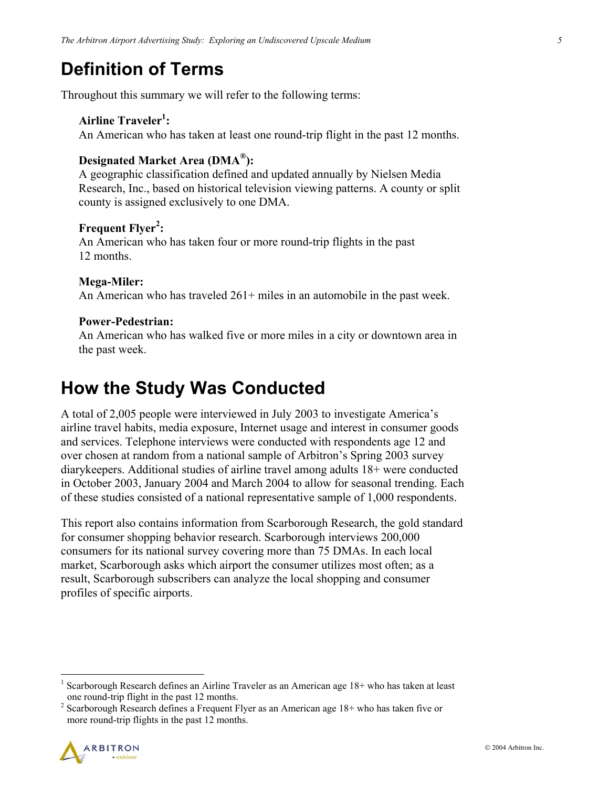## **Definition of Terms**

Throughout this summary we will refer to the following terms:

### Airline Traveler<sup>1</sup>:

An American who has taken at least one round-trip flight in the past 12 months.

### **Designated Market Area (DMA®):**

A geographic classification defined and updated annually by Nielsen Media Research, Inc., based on historical television viewing patterns. A county or split county is assigned exclusively to one DMA.

### **Frequent Flyer<sup>2</sup> :**

An American who has taken four or more round-trip flights in the past 12 months.

#### **Mega-Miler:**

An American who has traveled 261+ miles in an automobile in the past week.

#### **Power-Pedestrian:**

An American who has walked five or more miles in a city or downtown area in the past week.

## **How the Study Was Conducted**

A total of 2,005 people were interviewed in July 2003 to investigate America's airline travel habits, media exposure, Internet usage and interest in consumer goods and services. Telephone interviews were conducted with respondents age 12 and over chosen at random from a national sample of Arbitron's Spring 2003 survey diarykeepers. Additional studies of airline travel among adults 18+ were conducted in October 2003, January 2004 and March 2004 to allow for seasonal trending. Each of these studies consisted of a national representative sample of 1,000 respondents.

This report also contains information from Scarborough Research, the gold standard for consumer shopping behavior research. Scarborough interviews 200,000 consumers for its national survey covering more than 75 DMAs. In each local market, Scarborough asks which airport the consumer utilizes most often; as a result, Scarborough subscribers can analyze the local shopping and consumer profiles of specific airports.

<sup>&</sup>lt;sup>2</sup> Scarborough Research defines a Frequent Flyer as an American age  $18+$  who has taken five or more round-trip flights in the past 12 months.



 $\overline{a}$ 

<sup>&</sup>lt;sup>1</sup> Scarborough Research defines an Airline Traveler as an American age 18+ who has taken at least one round-trip flight in the past 12 months.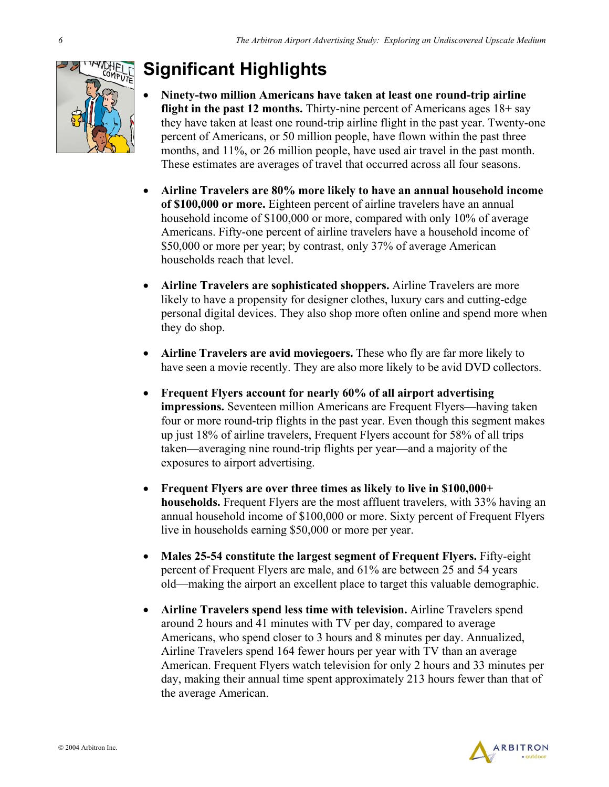

## **Significant Highlights**

- **Ninety-two million Americans have taken at least one round-trip airline flight in the past 12 months.** Thirty-nine percent of Americans ages 18+ say they have taken at least one round-trip airline flight in the past year. Twenty-one percent of Americans, or 50 million people, have flown within the past three months, and 11%, or 26 million people, have used air travel in the past month. These estimates are averages of travel that occurred across all four seasons.
- **Airline Travelers are 80% more likely to have an annual household income of \$100,000 or more.** Eighteen percent of airline travelers have an annual household income of \$100,000 or more, compared with only 10% of average Americans. Fifty-one percent of airline travelers have a household income of \$50,000 or more per year; by contrast, only 37% of average American households reach that level.
- **Airline Travelers are sophisticated shoppers.** Airline Travelers are more likely to have a propensity for designer clothes, luxury cars and cutting-edge personal digital devices. They also shop more often online and spend more when they do shop.
- **Airline Travelers are avid moviegoers.** These who fly are far more likely to have seen a movie recently. They are also more likely to be avid DVD collectors.
- **Frequent Flyers account for nearly 60% of all airport advertising impressions.** Seventeen million Americans are Frequent Flyers—having taken four or more round-trip flights in the past year. Even though this segment makes up just 18% of airline travelers, Frequent Flyers account for 58% of all trips taken—averaging nine round-trip flights per year—and a majority of the exposures to airport advertising.
- **Frequent Flyers are over three times as likely to live in \$100,000+ households.** Frequent Flyers are the most affluent travelers, with 33% having an annual household income of \$100,000 or more. Sixty percent of Frequent Flyers live in households earning \$50,000 or more per year.
- **Males 25-54 constitute the largest segment of Frequent Flyers.** Fifty-eight percent of Frequent Flyers are male, and 61% are between 25 and 54 years old—making the airport an excellent place to target this valuable demographic.
- **Airline Travelers spend less time with television.** Airline Travelers spend around 2 hours and 41 minutes with TV per day, compared to average Americans, who spend closer to 3 hours and 8 minutes per day. Annualized, Airline Travelers spend 164 fewer hours per year with TV than an average American. Frequent Flyers watch television for only 2 hours and 33 minutes per day, making their annual time spent approximately 213 hours fewer than that of the average American.

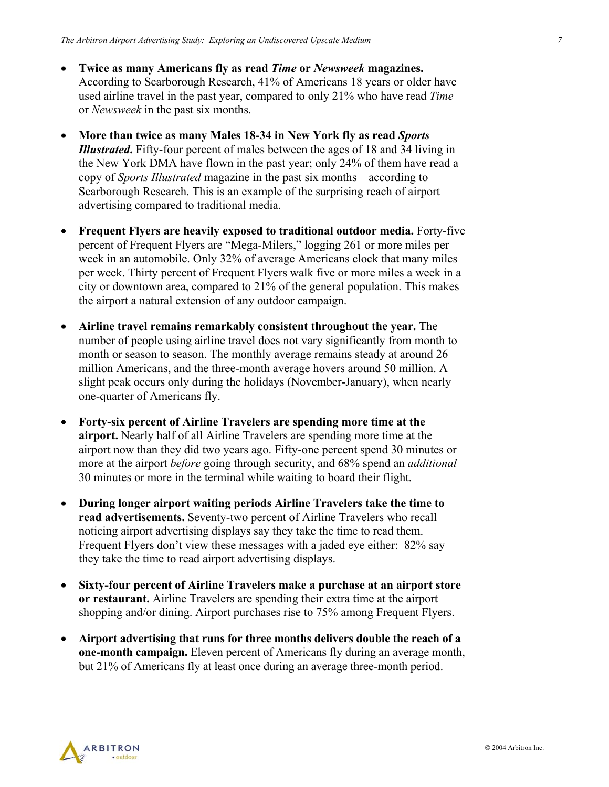- **Twice as many Americans fly as read** *Time* **or** *Newsweek* **magazines.** According to Scarborough Research, 41% of Americans 18 years or older have used airline travel in the past year, compared to only 21% who have read *Time* or *Newsweek* in the past six months.
- **More than twice as many Males 18-34 in New York fly as read** *Sports Illustrated***.** Fifty-four percent of males between the ages of 18 and 34 living in the New York DMA have flown in the past year; only 24% of them have read a copy of *Sports Illustrated* magazine in the past six months—according to Scarborough Research. This is an example of the surprising reach of airport advertising compared to traditional media.
- **Frequent Flyers are heavily exposed to traditional outdoor media.** Forty-five percent of Frequent Flyers are "Mega-Milers," logging 261 or more miles per week in an automobile. Only 32% of average Americans clock that many miles per week. Thirty percent of Frequent Flyers walk five or more miles a week in a city or downtown area, compared to 21% of the general population. This makes the airport a natural extension of any outdoor campaign.
- **Airline travel remains remarkably consistent throughout the year.** The number of people using airline travel does not vary significantly from month to month or season to season. The monthly average remains steady at around 26 million Americans, and the three-month average hovers around 50 million. A slight peak occurs only during the holidays (November-January), when nearly one-quarter of Americans fly.
- **Forty-six percent of Airline Travelers are spending more time at the airport.** Nearly half of all Airline Travelers are spending more time at the airport now than they did two years ago. Fifty-one percent spend 30 minutes or more at the airport *before* going through security, and 68% spend an *additional* 30 minutes or more in the terminal while waiting to board their flight.
- **During longer airport waiting periods Airline Travelers take the time to read advertisements.** Seventy-two percent of Airline Travelers who recall noticing airport advertising displays say they take the time to read them. Frequent Flyers don't view these messages with a jaded eye either: 82% say they take the time to read airport advertising displays.
- **Sixty-four percent of Airline Travelers make a purchase at an airport store or restaurant.** Airline Travelers are spending their extra time at the airport shopping and/or dining. Airport purchases rise to 75% among Frequent Flyers.
- **Airport advertising that runs for three months delivers double the reach of a one-month campaign.** Eleven percent of Americans fly during an average month, but 21% of Americans fly at least once during an average three-month period.

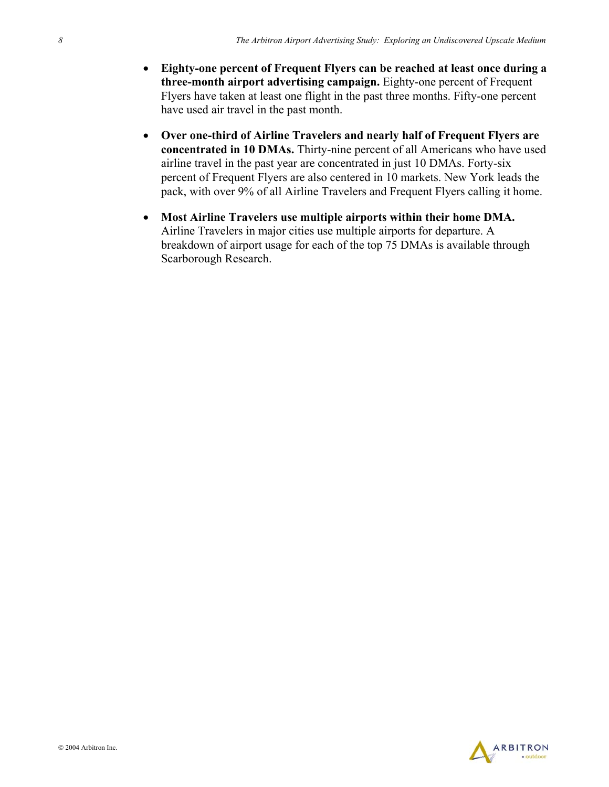- **Eighty-one percent of Frequent Flyers can be reached at least once during a three-month airport advertising campaign.** Eighty-one percent of Frequent Flyers have taken at least one flight in the past three months. Fifty-one percent have used air travel in the past month.
- **Over one-third of Airline Travelers and nearly half of Frequent Flyers are concentrated in 10 DMAs.** Thirty-nine percent of all Americans who have used airline travel in the past year are concentrated in just 10 DMAs. Forty-six percent of Frequent Flyers are also centered in 10 markets. New York leads the pack, with over 9% of all Airline Travelers and Frequent Flyers calling it home.
- **Most Airline Travelers use multiple airports within their home DMA.** Airline Travelers in major cities use multiple airports for departure. A breakdown of airport usage for each of the top 75 DMAs is available through Scarborough Research.

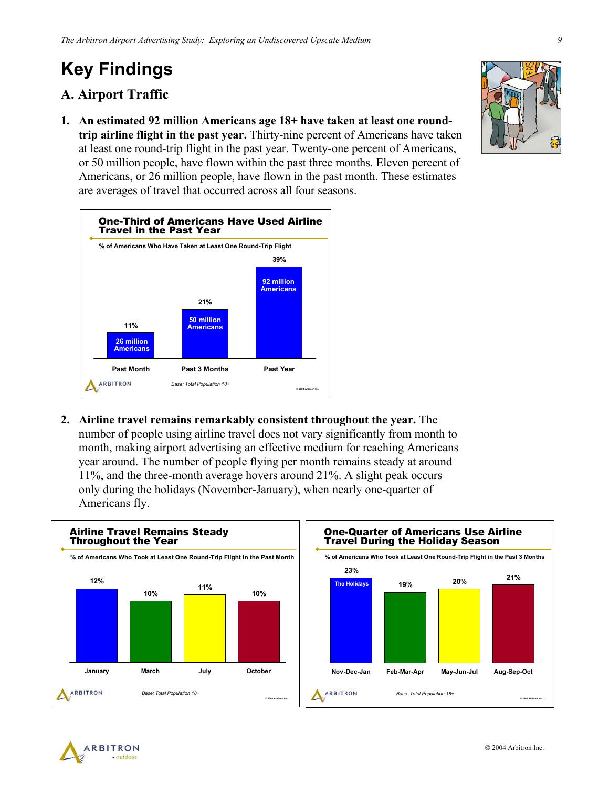## **Key Findings**

### **A. Airport Traffic**

**1. An estimated 92 million Americans age 18+ have taken at least one roundtrip airline flight in the past year.** Thirty-nine percent of Americans have taken at least one round-trip flight in the past year. Twenty-one percent of Americans, or 50 million people, have flown within the past three months. Eleven percent of Americans, or 26 million people, have flown in the past month. These estimates are averages of travel that occurred across all four seasons.



**2. Airline travel remains remarkably consistent throughout the year.** The number of people using airline travel does not vary significantly from month to month, making airport advertising an effective medium for reaching Americans year around. The number of people flying per month remains steady at around 11%, and the three-month average hovers around 21%. A slight peak occurs only during the holidays (November-January), when nearly one-quarter of Americans fly.







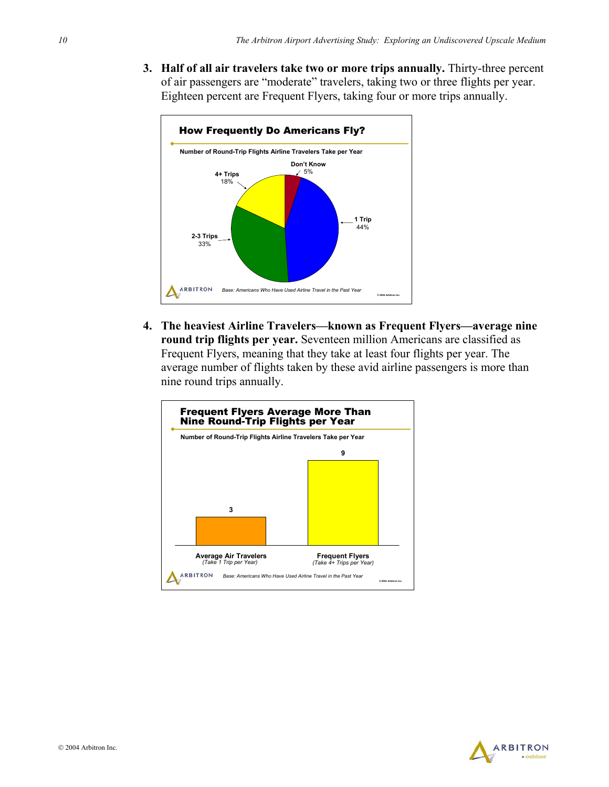**3. Half of all air travelers take two or more trips annually.** Thirty-three percent of air passengers are "moderate" travelers, taking two or three flights per year. Eighteen percent are Frequent Flyers, taking four or more trips annually.



**4. The heaviest Airline Travelers—known as Frequent Flyers—average nine round trip flights per year.** Seventeen million Americans are classified as Frequent Flyers, meaning that they take at least four flights per year. The average number of flights taken by these avid airline passengers is more than nine round trips annually.



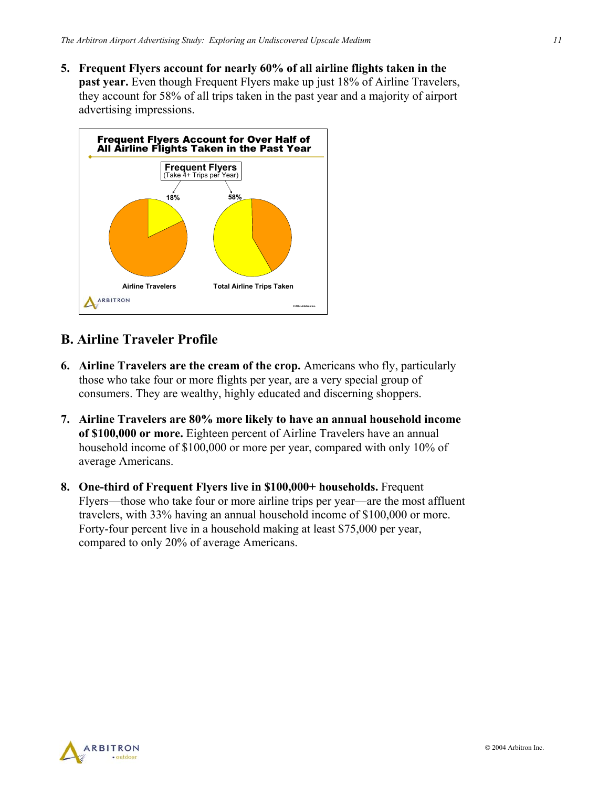**5. Frequent Flyers account for nearly 60% of all airline flights taken in the past year.** Even though Frequent Flyers make up just 18% of Airline Travelers, they account for 58% of all trips taken in the past year and a majority of airport advertising impressions.



### **B. Airline Traveler Profile**

- **6. Airline Travelers are the cream of the crop.** Americans who fly, particularly those who take four or more flights per year, are a very special group of consumers. They are wealthy, highly educated and discerning shoppers.
- **7. Airline Travelers are 80% more likely to have an annual household income of \$100,000 or more.** Eighteen percent of Airline Travelers have an annual household income of \$100,000 or more per year, compared with only 10% of average Americans.
- **8. One-third of Frequent Flyers live in \$100,000+ households.** Frequent Flyers—those who take four or more airline trips per year—are the most affluent travelers, with 33% having an annual household income of \$100,000 or more. Forty-four percent live in a household making at least \$75,000 per year, compared to only 20% of average Americans.

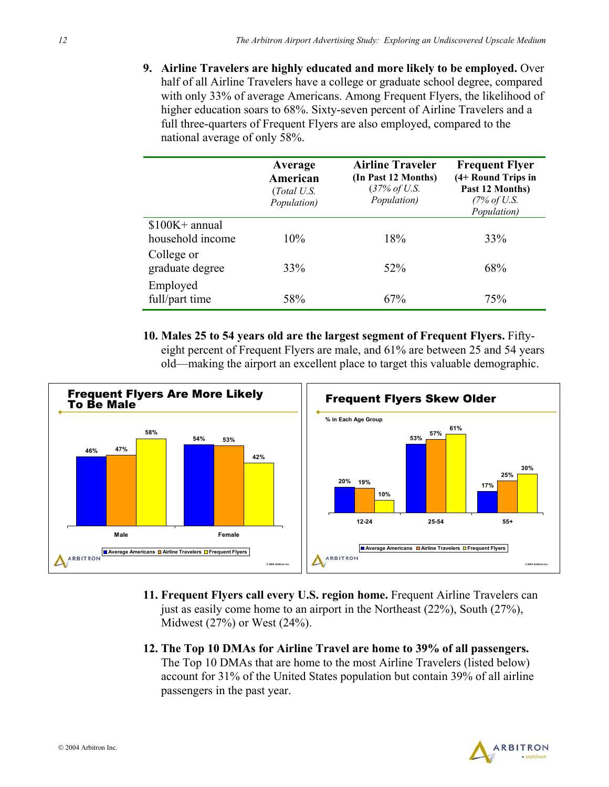**9. Airline Travelers are highly educated and more likely to be employed.** Over half of all Airline Travelers have a college or graduate school degree, compared with only 33% of average Americans. Among Frequent Flyers, the likelihood of higher education soars to 68%. Sixty-seven percent of Airline Travelers and a full three-quarters of Frequent Flyers are also employed, compared to the national average of only 58%.

|                                     | Average<br>American<br>(Total U.S.<br>Population) | <b>Airline Traveler</b><br>(In Past 12 Months)<br>(37% of U.S.<br>Population) | <b>Frequent Flyer</b><br>(4+ Round Trips in<br>Past 12 Months)<br>(7% of U.S.<br>Population) |
|-------------------------------------|---------------------------------------------------|-------------------------------------------------------------------------------|----------------------------------------------------------------------------------------------|
| $$100K+$ annual<br>household income | 10%                                               | 18%                                                                           | 33%                                                                                          |
| College or<br>graduate degree       | 33%                                               | $52\%$                                                                        | 68%                                                                                          |
| Employed<br>full/part time          | 58%                                               | 67%                                                                           | 75%                                                                                          |

**10. Males 25 to 54 years old are the largest segment of Frequent Flyers.** Fiftyeight percent of Frequent Flyers are male, and 61% are between 25 and 54 years old—making the airport an excellent place to target this valuable demographic.



- **11. Frequent Flyers call every U.S. region home.** Frequent Airline Travelers can just as easily come home to an airport in the Northeast (22%), South (27%), Midwest (27%) or West (24%).
- **12. The Top 10 DMAs for Airline Travel are home to 39% of all passengers.**  The Top 10 DMAs that are home to the most Airline Travelers (listed below) account for 31% of the United States population but contain 39% of all airline passengers in the past year.

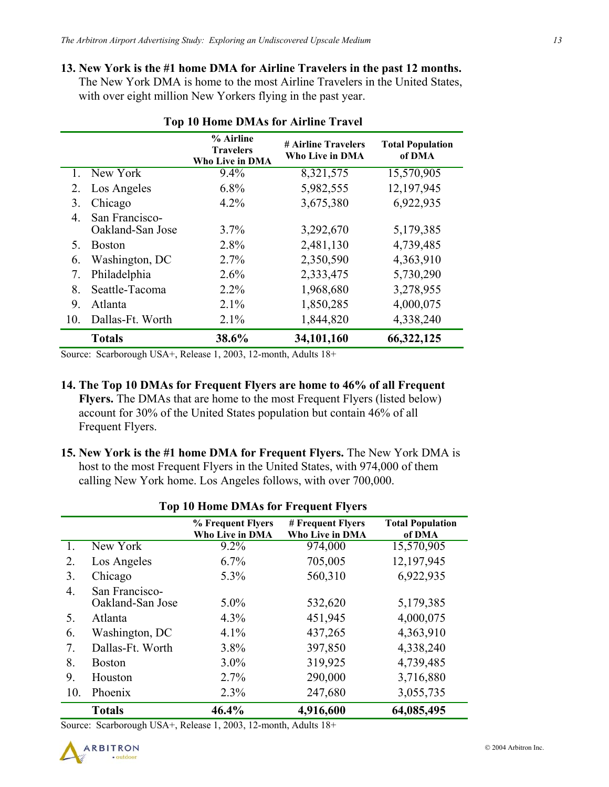### **13. New York is the #1 home DMA for Airline Travelers in the past 12 months.** The New York DMA is home to the most Airline Travelers in the United States, with over eight million New Yorkers flying in the past year.

|     |                                    | % Airline<br><b>Travelers</b><br><b>Who Live in DMA</b> | # Airline Travelers<br>Who Live in DMA | <b>Total Population</b><br>of DMA |
|-----|------------------------------------|---------------------------------------------------------|----------------------------------------|-----------------------------------|
|     | New York                           | 9.4%                                                    | 8,321,575                              | 15,570,905                        |
| 2.  | Los Angeles                        | 6.8%                                                    | 5,982,555                              | 12,197,945                        |
| 3.  | Chicago                            | $4.2\%$                                                 | 3,675,380                              | 6,922,935                         |
| 4   | San Francisco-<br>Oakland-San Jose | 3.7%                                                    | 3,292,670                              | 5,179,385                         |
| 5.  | <b>Boston</b>                      | 2.8%                                                    | 2,481,130                              | 4,739,485                         |
| 6.  | Washington, DC                     | 2.7%                                                    | 2,350,590                              | 4,363,910                         |
| 7.  | Philadelphia                       | 2.6%                                                    | 2,333,475                              | 5,730,290                         |
| 8   | Seattle-Tacoma                     | $2.2\%$                                                 | 1,968,680                              | 3,278,955                         |
| 9.  | Atlanta                            | 2.1%                                                    | 1,850,285                              | 4,000,075                         |
| 10. | Dallas-Ft. Worth                   | 2.1%                                                    | 1,844,820                              | 4,338,240                         |
|     | <b>Totals</b>                      | 38.6%                                                   | 34,101,160                             | 66,322,125                        |

### **Top 10 Home DMAs for Airline Travel**

Source: Scarborough USA+, Release 1, 2003, 12-month, Adults 18+

### **14. The Top 10 DMAs for Frequent Flyers are home to 46% of all Frequent**

**Flyers.** The DMAs that are home to the most Frequent Flyers (listed below) account for 30% of the United States population but contain 46% of all Frequent Flyers.

**15. New York is the #1 home DMA for Frequent Flyers.** The New York DMA is host to the most Frequent Flyers in the United States, with 974,000 of them calling New York home. Los Angeles follows, with over 700,000.

|     | Top To Home Diviris for Frequent Flyers |                                      |                                             |                                   |
|-----|-----------------------------------------|--------------------------------------|---------------------------------------------|-----------------------------------|
|     |                                         | % Frequent Flyers<br>Who Live in DMA | # Frequent Flyers<br><b>Who Live in DMA</b> | <b>Total Population</b><br>of DMA |
| 1.  | New York                                | $9.2\%$                              | 974,000                                     | 15,570,905                        |
| 2.  | Los Angeles                             | 6.7%                                 | 705,005                                     | 12,197,945                        |
| 3.  | Chicago                                 | 5.3%                                 | 560,310                                     | 6,922,935                         |
| 4.  | San Francisco-<br>Oakland-San Jose      | $5.0\%$                              | 532,620                                     | 5,179,385                         |
| 5.  | Atlanta                                 | 4.3%                                 | 451,945                                     | 4,000,075                         |
| 6.  | Washington, DC                          | 4.1%                                 | 437,265                                     | 4,363,910                         |
| 7.  | Dallas-Ft. Worth                        | 3.8%                                 | 397,850                                     | 4,338,240                         |
| 8.  | <b>Boston</b>                           | 3.0%                                 | 319,925                                     | 4,739,485                         |
| 9.  | Houston                                 | 2.7%                                 | 290,000                                     | 3,716,880                         |
| 10. | Phoenix                                 | 2.3%                                 | 247,680                                     | 3,055,735                         |
|     | <b>Totals</b>                           | 46.4%                                | 4,916,600                                   | 64,085,495                        |

### **Top 10 Home DMAs for Frequent Flyers**

Source: Scarborough USA+, Release 1, 2003, 12-month, Adults 18+

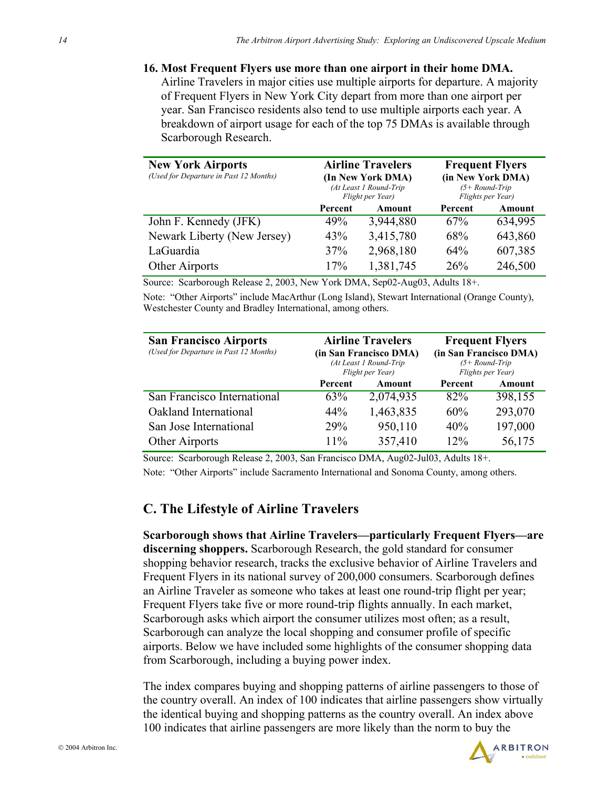**16. Most Frequent Flyers use more than one airport in their home DMA.** Airline Travelers in major cities use multiple airports for departure. A majority of Frequent Flyers in New York City depart from more than one airport per year. San Francisco residents also tend to use multiple airports each year. A breakdown of airport usage for each of the top 75 DMAs is available through Scarborough Research.

| <b>New York Airports</b><br>(Used for Departure in Past 12 Months) | <b>Airline Travelers</b><br>(In New York DMA)<br>(At Least 1 Round-Trip<br>Flight per Year) |           |         | <b>Frequent Flyers</b><br>(in New York DMA)<br>$(5+Round-Trip)$<br>Flights per Year) |
|--------------------------------------------------------------------|---------------------------------------------------------------------------------------------|-----------|---------|--------------------------------------------------------------------------------------|
|                                                                    | Percent                                                                                     | Amount    | Percent | Amount                                                                               |
| John F. Kennedy (JFK)                                              | 49%                                                                                         | 3,944,880 | 67%     | 634,995                                                                              |
| Newark Liberty (New Jersey)                                        | 43%                                                                                         | 3,415,780 | 68%     | 643,860                                                                              |
| LaGuardia                                                          | 37%                                                                                         | 2,968,180 | 64%     | 607,385                                                                              |
| Other Airports                                                     | 17%                                                                                         | 1,381,745 | 26%     | 246,500                                                                              |

Source: Scarborough Release 2, 2003, New York DMA, Sep02-Aug03, Adults 18+.

Note: "Other Airports" include MacArthur (Long Island), Stewart International (Orange County), Westchester County and Bradley International, among others.

| <b>San Francisco Airports</b><br>(Used for Departure in Past 12 Months) | <b>Airline Travelers</b><br>(in San Francisco DMA)<br>(At Least 1 Round-Trip<br>Flight per Year) |           |         | <b>Frequent Flyers</b><br>(in San Francisco DMA)<br>$(5+Round-Trip)$<br>Flights per Year) |
|-------------------------------------------------------------------------|--------------------------------------------------------------------------------------------------|-----------|---------|-------------------------------------------------------------------------------------------|
|                                                                         | Percent                                                                                          | Amount    | Percent | Amount                                                                                    |
| San Francisco International                                             | 63%                                                                                              | 2,074,935 | 82%     | 398,155                                                                                   |
| Oakland International                                                   | 44%                                                                                              | 1,463,835 | 60%     | 293,070                                                                                   |
| San Jose International                                                  | <b>29%</b>                                                                                       | 950,110   | 40%     | 197,000                                                                                   |
| Other Airports                                                          | 11%                                                                                              | 357,410   | 12%     | 56,175                                                                                    |

Source: Scarborough Release 2, 2003, San Francisco DMA, Aug02-Jul03, Adults 18+. Note: "Other Airports" include Sacramento International and Sonoma County, among others.

### **C. The Lifestyle of Airline Travelers**

**Scarborough shows that Airline Travelers—particularly Frequent Flyers—are discerning shoppers.** Scarborough Research, the gold standard for consumer shopping behavior research, tracks the exclusive behavior of Airline Travelers and Frequent Flyers in its national survey of 200,000 consumers. Scarborough defines an Airline Traveler as someone who takes at least one round-trip flight per year; Frequent Flyers take five or more round-trip flights annually. In each market, Scarborough asks which airport the consumer utilizes most often; as a result, Scarborough can analyze the local shopping and consumer profile of specific airports. Below we have included some highlights of the consumer shopping data from Scarborough, including a buying power index.

The index compares buying and shopping patterns of airline passengers to those of the country overall. An index of 100 indicates that airline passengers show virtually the identical buying and shopping patterns as the country overall. An index above 100 indicates that airline passengers are more likely than the norm to buy the

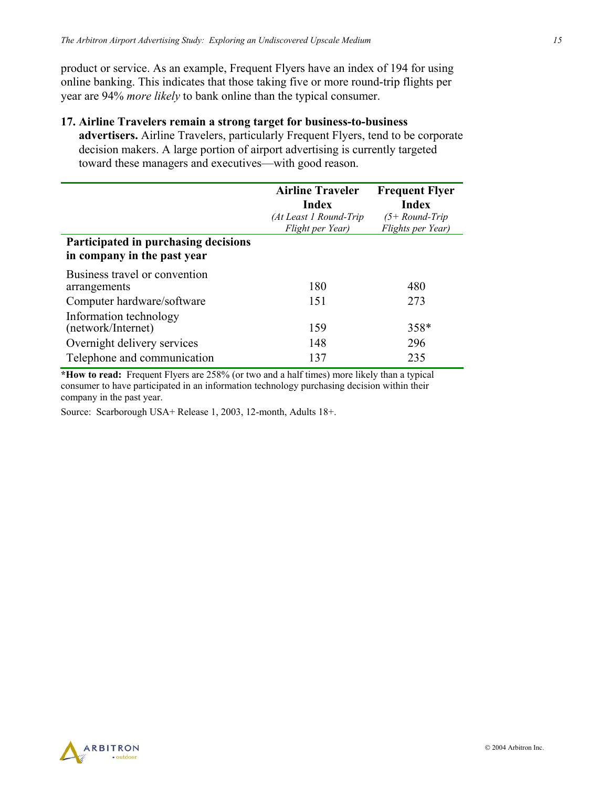product or service. As an example, Frequent Flyers have an index of 194 for using online banking. This indicates that those taking five or more round-trip flights per year are 94% *more likely* to bank online than the typical consumer.

#### **17. Airline Travelers remain a strong target for business-to-business**

**advertisers.** Airline Travelers, particularly Frequent Flyers, tend to be corporate decision makers. A large portion of airport advertising is currently targeted toward these managers and executives—with good reason.

|                                                                     | <b>Airline Traveler</b><br>Index<br>(At Least 1 Round-Trip | <b>Frequent Flyer</b><br>Index<br>$(5+Round-Trip)$ |
|---------------------------------------------------------------------|------------------------------------------------------------|----------------------------------------------------|
| Participated in purchasing decisions<br>in company in the past year | Flight per Year)                                           | Flights per Year)                                  |
| Business travel or convention<br>arrangements                       | 180                                                        | 480                                                |
| Computer hardware/software                                          | 151                                                        | 273                                                |
| Information technology<br>(network/Internet)                        | 159                                                        | 358*                                               |
| Overnight delivery services                                         | 148                                                        | 296                                                |
| Telephone and communication                                         | 137                                                        | 235                                                |

**\*How to read:** Frequent Flyers are 258% (or two and a half times) more likely than a typical consumer to have participated in an information technology purchasing decision within their company in the past year.

Source: Scarborough USA+ Release 1, 2003, 12-month, Adults 18+.

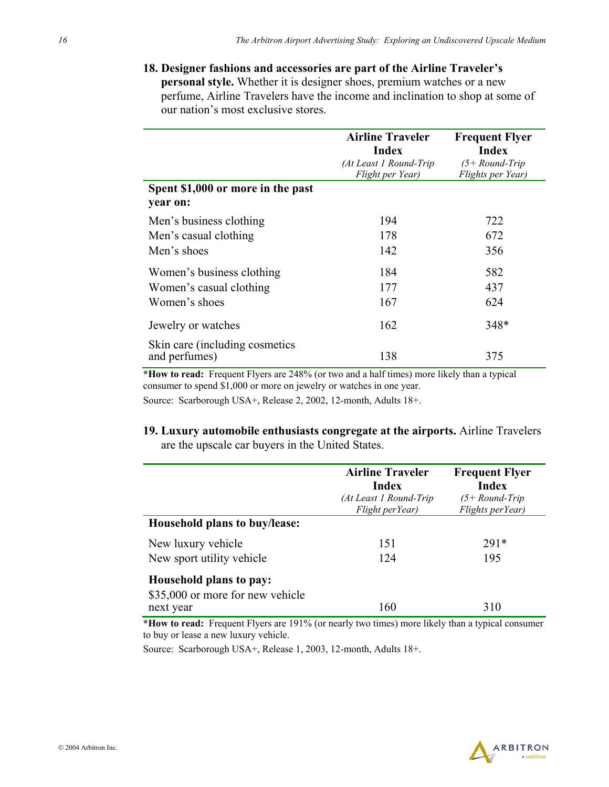**18. Designer fashions and accessories are part of the Airline Traveler's personal style.** Whether it is designer shoes, premium watches or a new perfume, Airline Travelers have the income and inclination to shop at some of our nation's most exclusive stores.

|                                                  | <b>Airline Traveler</b><br>Index<br>(At Least 1 Round-Trip<br>Flight per Year) | <b>Frequent Flyer</b><br>Index<br>(5+ Round-Trip<br>Flights per Year) |
|--------------------------------------------------|--------------------------------------------------------------------------------|-----------------------------------------------------------------------|
| Spent \$1,000 or more in the past<br>year on:    |                                                                                |                                                                       |
| Men's business clothing                          | 194                                                                            | 722                                                                   |
| Men's casual clothing                            | 178                                                                            | 672                                                                   |
| Men's shoes                                      | 142                                                                            | 356                                                                   |
| Women's business clothing                        | 184                                                                            | 582                                                                   |
| Women's casual clothing                          | 177                                                                            | 437                                                                   |
| Women's shoes                                    | 167                                                                            | 624                                                                   |
| Jewelry or watches                               | 162                                                                            | $348*$                                                                |
| Skin care (including cosmetics)<br>and perfumes) | 138                                                                            | 375                                                                   |

**\*How to read:** Frequent Flyers are 248% (or two and a half times) more likely than a typical consumer to spend \$1,000 or more on jewelry or watches in one year.

Source: Scarborough USA+, Release 2, 2002, 12-month, Adults 18+.

### **19. Luxury automobile enthusiasts congregate at the airports.** Airline Travelers are the upscale car buyers in the United States.

|                                                                          | <b>Airline Traveler</b><br>Index<br>(At Least 1 Round-Trip<br>Flight perYear) | <b>Frequent Flyer</b><br><b>Index</b><br>$(5+Round-Trip)$<br>Flights perYear) |
|--------------------------------------------------------------------------|-------------------------------------------------------------------------------|-------------------------------------------------------------------------------|
| Household plans to buy/lease:                                            |                                                                               |                                                                               |
| New luxury vehicle                                                       | 151                                                                           | $291*$                                                                        |
| New sport utility vehicle                                                | 124                                                                           | 195                                                                           |
| Household plans to pay:<br>\$35,000 or more for new vehicle<br>next year | 160                                                                           | 310                                                                           |

**\*How to read:** Frequent Flyers are 191% (or nearly two times) more likely than a typical consumer to buy or lease a new luxury vehicle.

Source: Scarborough USA+, Release 1, 2003, 12-month, Adults 18+.

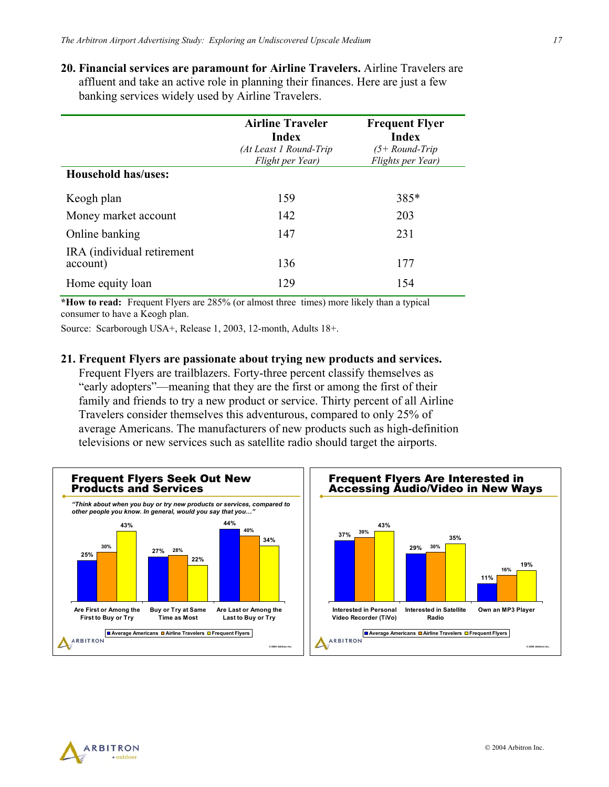**20. Financial services are paramount for Airline Travelers.** Airline Travelers are affluent and take an active role in planning their finances. Here are just a few banking services widely used by Airline Travelers.

|                                        | <b>Airline Traveler</b><br>Index<br>(At Least 1 Round-Trip<br>Flight per Year) | <b>Frequent Flyer</b><br>Index<br>$(5+Round-Trip)$<br>Flights per Year) |
|----------------------------------------|--------------------------------------------------------------------------------|-------------------------------------------------------------------------|
| Household has/uses:                    |                                                                                |                                                                         |
| Keogh plan                             | 159                                                                            | 385*                                                                    |
| Money market account                   | 142                                                                            | 203                                                                     |
| Online banking                         | 147                                                                            | 231                                                                     |
| IRA (individual retirement<br>account) | 136                                                                            | 177                                                                     |
| Home equity loan                       | 129                                                                            | 154                                                                     |

**\*How to read:** Frequent Flyers are 285% (or almost three times) more likely than a typical consumer to have a Keogh plan.

Source: Scarborough USA+, Release 1, 2003, 12-month, Adults 18+.

#### **21. Frequent Flyers are passionate about trying new products and services.**

Frequent Flyers are trailblazers. Forty-three percent classify themselves as "early adopters"—meaning that they are the first or among the first of their family and friends to try a new product or service. Thirty percent of all Airline Travelers consider themselves this adventurous, compared to only 25% of average Americans. The manufacturers of new products such as high-definition televisions or new services such as satellite radio should target the airports.



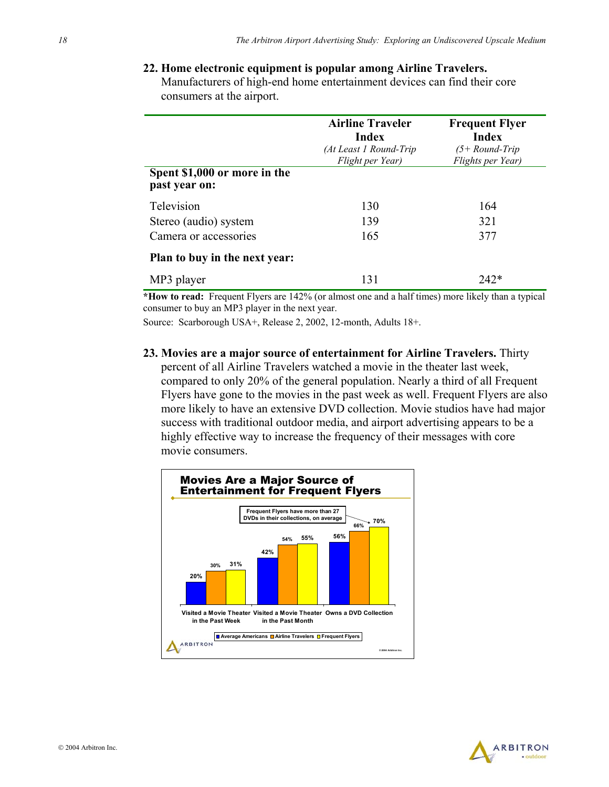### **22. Home electronic equipment is popular among Airline Travelers.**

Manufacturers of high-end home entertainment devices can find their core consumers at the airport.

| Spent \$1,000 or more in the<br>past year on: | <b>Airline Traveler</b><br>Index<br>(At Least 1 Round-Trip<br>Flight per Year) | <b>Frequent Flyer</b><br><b>Index</b><br>$(5+Round-Trip)$<br>Flights per Year) |
|-----------------------------------------------|--------------------------------------------------------------------------------|--------------------------------------------------------------------------------|
| Television                                    | 130                                                                            | 164                                                                            |
| Stereo (audio) system                         | 139                                                                            | 321                                                                            |
| Camera or accessories                         | 165                                                                            | 377                                                                            |
| <b>Plan to buy in the next year:</b>          |                                                                                |                                                                                |
| MP3 player                                    | 131                                                                            | 747*                                                                           |

**\*How to read:** Frequent Flyers are 142% (or almost one and a half times) more likely than a typical consumer to buy an MP3 player in the next year.

Source: Scarborough USA+, Release 2, 2002, 12-month, Adults 18+.

**23. Movies are a major source of entertainment for Airline Travelers.** Thirty percent of all Airline Travelers watched a movie in the theater last week, compared to only 20% of the general population. Nearly a third of all Frequent Flyers have gone to the movies in the past week as well. Frequent Flyers are also more likely to have an extensive DVD collection. Movie studios have had major success with traditional outdoor media, and airport advertising appears to be a highly effective way to increase the frequency of their messages with core movie consumers.



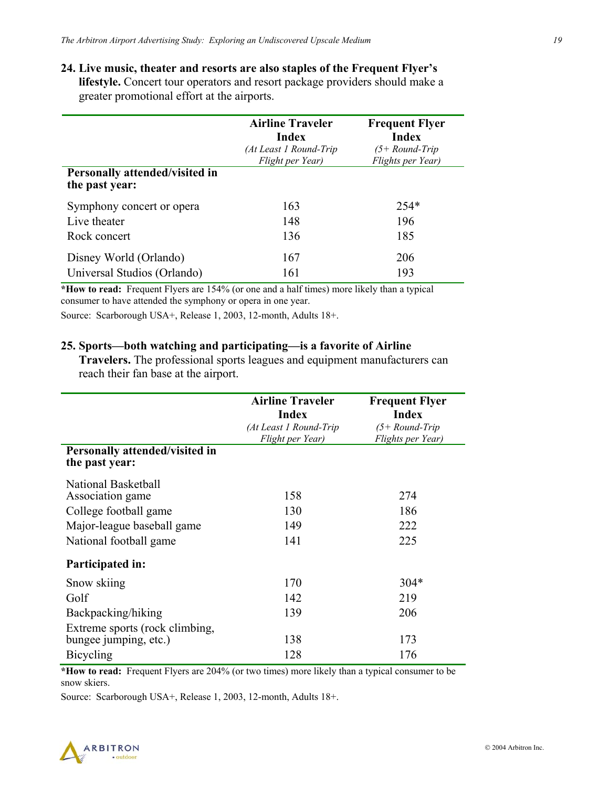**24. Live music, theater and resorts are also staples of the Frequent Flyer's lifestyle.** Concert tour operators and resort package providers should make a greater promotional effort at the airports.

| Personally attended/visited in<br>the past year: | <b>Airline Traveler</b><br>Index<br>(At Least 1 Round-Trip<br>Flight per Year) | <b>Frequent Flyer</b><br><b>Index</b><br>$(5 + Round-Trip)$<br>Flights per Year) |
|--------------------------------------------------|--------------------------------------------------------------------------------|----------------------------------------------------------------------------------|
| Symphony concert or opera                        | 163                                                                            | $254*$                                                                           |
| Live theater                                     | 148                                                                            | 196                                                                              |
| Rock concert                                     | 136                                                                            | 185                                                                              |
| Disney World (Orlando)                           | 167                                                                            | 206                                                                              |
| Universal Studios (Orlando)                      | 161                                                                            | 193                                                                              |

**\*How to read:** Frequent Flyers are 154% (or one and a half times) more likely than a typical consumer to have attended the symphony or opera in one year.

Source: Scarborough USA+, Release 1, 2003, 12-month, Adults 18+.

#### **25. Sports—both watching and participating—is a favorite of Airline**

**Travelers.** The professional sports leagues and equipment manufacturers can reach their fan base at the airport.

|                                                                                                                          | <b>Airline Traveler</b><br><b>Index</b><br>(At Least 1 Round-Trip<br>Flight per Year) | <b>Frequent Flyer</b><br><b>Index</b><br>$(5 + Round-Trip)$<br>Flights per Year) |
|--------------------------------------------------------------------------------------------------------------------------|---------------------------------------------------------------------------------------|----------------------------------------------------------------------------------|
| Personally attended/visited in<br>the past year:                                                                         |                                                                                       |                                                                                  |
| National Basketball<br>Association game<br>College football game<br>Major-league baseball game<br>National football game | 158<br>130<br>149<br>141                                                              | 274<br>186<br>222<br>225                                                         |
| Participated in:                                                                                                         |                                                                                       |                                                                                  |
| Snow skiing<br>Golf<br>Backpacking/hiking                                                                                | 170<br>142<br>139                                                                     | $304*$<br>219<br>206                                                             |
| Extreme sports (rock climbing,<br>bungee jumping, etc.)<br>Bicycling                                                     | 138<br>128                                                                            | 173<br>176                                                                       |

**\*How to read:** Frequent Flyers are 204% (or two times) more likely than a typical consumer to be snow skiers.

Source: Scarborough USA+, Release 1, 2003, 12-month, Adults 18+.

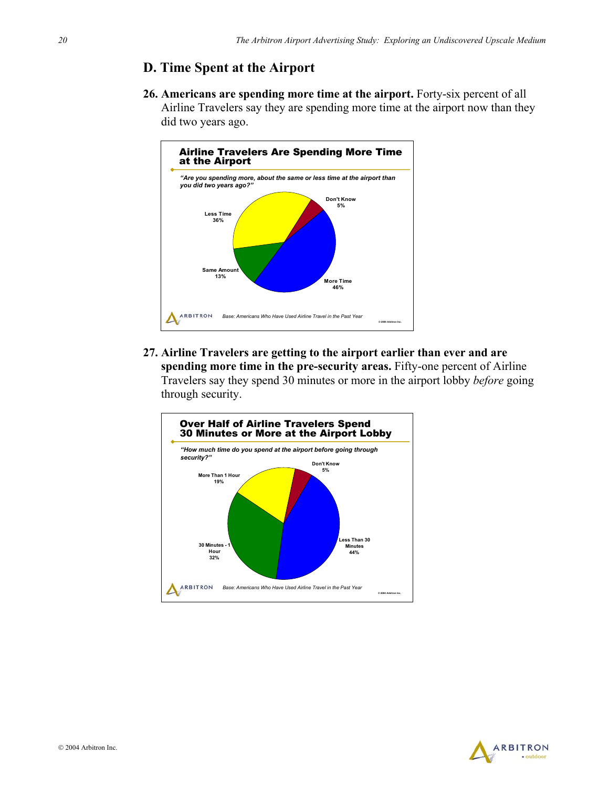### **D. Time Spent at the Airport**

**26. Americans are spending more time at the airport.** Forty-six percent of all Airline Travelers say they are spending more time at the airport now than they did two years ago.



**27. Airline Travelers are getting to the airport earlier than ever and are spending more time in the pre-security areas.** Fifty-one percent of Airline Travelers say they spend 30 minutes or more in the airport lobby *before* going through security.



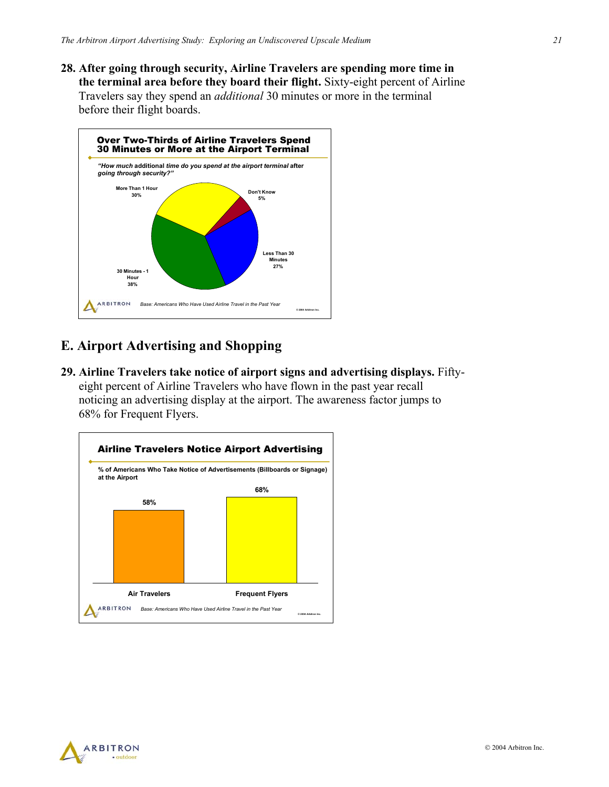**28. After going through security, Airline Travelers are spending more time in the terminal area before they board their flight.** Sixty-eight percent of Airline Travelers say they spend an *additional* 30 minutes or more in the terminal before their flight boards.



### **E. Airport Advertising and Shopping**

**29. Airline Travelers take notice of airport signs and advertising displays.** Fiftyeight percent of Airline Travelers who have flown in the past year recall noticing an advertising display at the airport. The awareness factor jumps to 68% for Frequent Flyers.



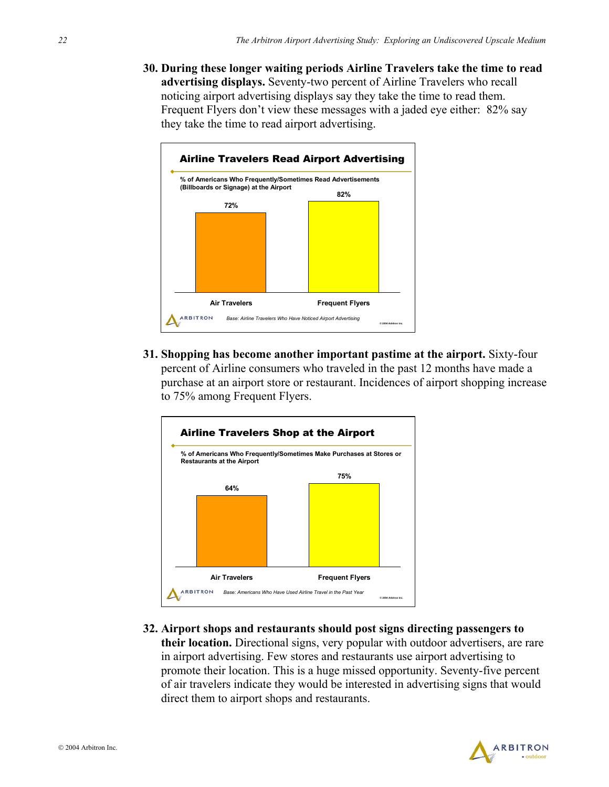**30. During these longer waiting periods Airline Travelers take the time to read advertising displays.** Seventy-two percent of Airline Travelers who recall noticing airport advertising displays say they take the time to read them. Frequent Flyers don't view these messages with a jaded eye either: 82% say they take the time to read airport advertising.



**31. Shopping has become another important pastime at the airport.** Sixty-four percent of Airline consumers who traveled in the past 12 months have made a purchase at an airport store or restaurant. Incidences of airport shopping increase to 75% among Frequent Flyers.



**32. Airport shops and restaurants should post signs directing passengers to their location.** Directional signs, very popular with outdoor advertisers, are rare in airport advertising. Few stores and restaurants use airport advertising to promote their location. This is a huge missed opportunity. Seventy-five percent of air travelers indicate they would be interested in advertising signs that would direct them to airport shops and restaurants.

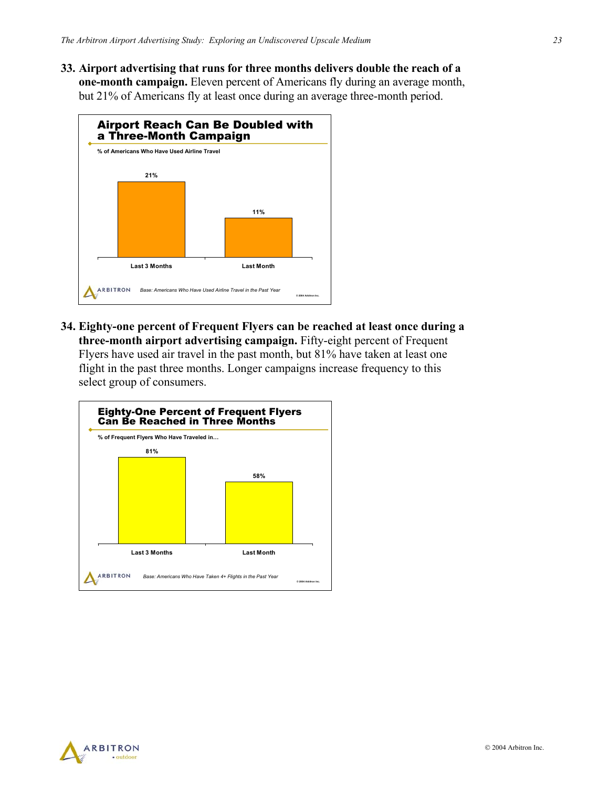**33. Airport advertising that runs for three months delivers double the reach of a one-month campaign.** Eleven percent of Americans fly during an average month, but 21% of Americans fly at least once during an average three-month period.



**34. Eighty-one percent of Frequent Flyers can be reached at least once during a three-month airport advertising campaign.** Fifty-eight percent of Frequent Flyers have used air travel in the past month, but 81% have taken at least one flight in the past three months. Longer campaigns increase frequency to this select group of consumers.



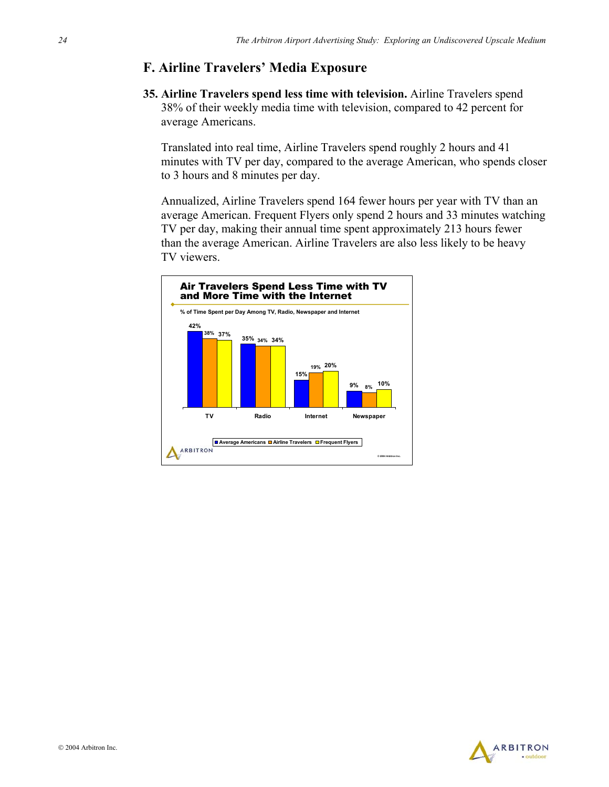### **F. Airline Travelers' Media Exposure**

**35. Airline Travelers spend less time with television.** Airline Travelers spend 38% of their weekly media time with television, compared to 42 percent for average Americans.

Translated into real time, Airline Travelers spend roughly 2 hours and 41 minutes with TV per day, compared to the average American, who spends closer to 3 hours and 8 minutes per day.

Annualized, Airline Travelers spend 164 fewer hours per year with TV than an average American. Frequent Flyers only spend 2 hours and 33 minutes watching TV per day, making their annual time spent approximately 213 hours fewer than the average American. Airline Travelers are also less likely to be heavy TV viewers.



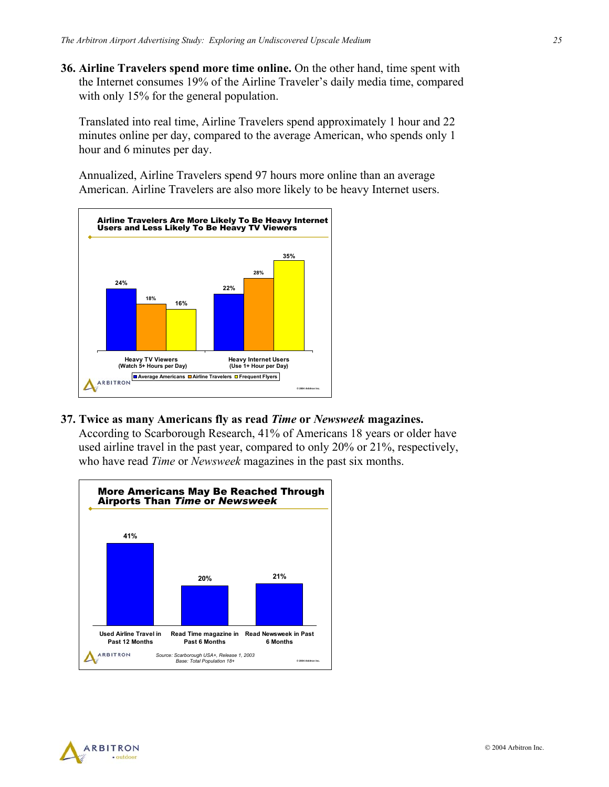**36. Airline Travelers spend more time online.** On the other hand, time spent with the Internet consumes 19% of the Airline Traveler's daily media time, compared with only 15% for the general population.

Translated into real time, Airline Travelers spend approximately 1 hour and 22 minutes online per day, compared to the average American, who spends only 1 hour and 6 minutes per day.

Annualized, Airline Travelers spend 97 hours more online than an average American. Airline Travelers are also more likely to be heavy Internet users.



**37. Twice as many Americans fly as read** *Time* **or** *Newsweek* **magazines.**

According to Scarborough Research, 41% of Americans 18 years or older have used airline travel in the past year, compared to only 20% or 21%, respectively, who have read *Time* or *Newsweek* magazines in the past six months.



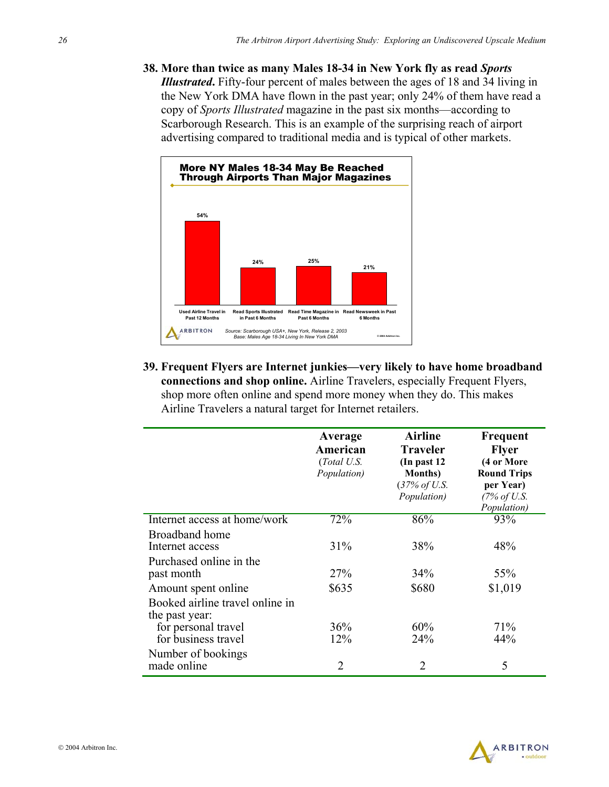**38. More than twice as many Males 18-34 in New York fly as read** *Sports Illustrated***.** Fifty-four percent of males between the ages of 18 and 34 living in the New York DMA have flown in the past year; only 24% of them have read a copy of *Sports Illustrated* magazine in the past six months—according to Scarborough Research. This is an example of the surprising reach of airport advertising compared to traditional media and is typical of other markets.



**39. Frequent Flyers are Internet junkies—very likely to have home broadband connections and shop online.** Airline Travelers, especially Frequent Flyers, shop more often online and spend more money when they do. This makes Airline Travelers a natural target for Internet retailers.

|                                                                          | Average<br>American<br>(Total U.S.<br>Population) | <b>Airline</b><br><b>Traveler</b><br>(In past 12)<br><b>Months</b> )<br>$(37\% \text{ of } U.S.$<br>Population) | Frequent<br><b>Flyer</b><br>(4 or More<br><b>Round Trips</b><br>per Year)<br>(7% of U.S.<br>Population) |
|--------------------------------------------------------------------------|---------------------------------------------------|-----------------------------------------------------------------------------------------------------------------|---------------------------------------------------------------------------------------------------------|
| Internet access at home/work                                             | 72%                                               | 86%                                                                                                             | 93%                                                                                                     |
| Broadband home<br>Internet access<br>Purchased online in the             | 31%                                               | 38%                                                                                                             | 48%                                                                                                     |
| past month                                                               | 27%                                               | 34%                                                                                                             | 55%                                                                                                     |
| Amount spent online                                                      | \$635                                             | \$680                                                                                                           | \$1,019                                                                                                 |
| Booked airline travel online in<br>the past year:<br>for personal travel | 36%                                               | 60%                                                                                                             | 71%                                                                                                     |
| for business travel                                                      | 12%                                               | 24 <sup>%</sup>                                                                                                 | 44%                                                                                                     |
| Number of bookings<br>made online                                        | $\overline{2}$                                    | 2                                                                                                               | 5                                                                                                       |

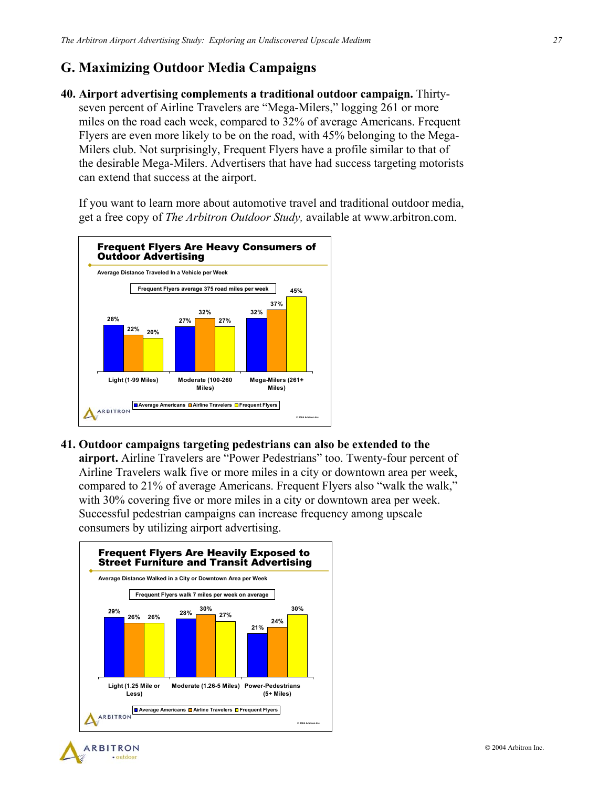### **G. Maximizing Outdoor Media Campaigns**

**40. Airport advertising complements a traditional outdoor campaign.** Thirtyseven percent of Airline Travelers are "Mega-Milers," logging 261 or more miles on the road each week, compared to 32% of average Americans. Frequent Flyers are even more likely to be on the road, with 45% belonging to the Mega-Milers club. Not surprisingly, Frequent Flyers have a profile similar to that of the desirable Mega-Milers. Advertisers that have had success targeting motorists can extend that success at the airport.

If you want to learn more about automotive travel and traditional outdoor media, get a free copy of *The Arbitron Outdoor Study,* available at www.arbitron.com.



**41. Outdoor campaigns targeting pedestrians can also be extended to the** 

**airport.** Airline Travelers are "Power Pedestrians" too. Twenty-four percent of Airline Travelers walk five or more miles in a city or downtown area per week, compared to 21% of average Americans. Frequent Flyers also "walk the walk," with 30% covering five or more miles in a city or downtown area per week. Successful pedestrian campaigns can increase frequency among upscale consumers by utilizing airport advertising.



· outdoor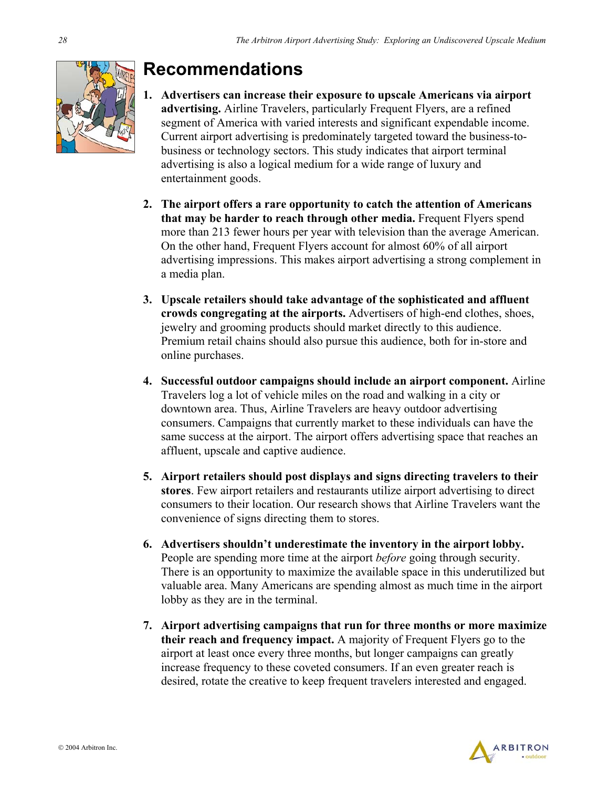

## **Recommendations**

- **1. Advertisers can increase their exposure to upscale Americans via airport advertising.** Airline Travelers, particularly Frequent Flyers, are a refined segment of America with varied interests and significant expendable income. Current airport advertising is predominately targeted toward the business-tobusiness or technology sectors. This study indicates that airport terminal advertising is also a logical medium for a wide range of luxury and entertainment goods.
- **2. The airport offers a rare opportunity to catch the attention of Americans that may be harder to reach through other media.** Frequent Flyers spend more than 213 fewer hours per year with television than the average American. On the other hand, Frequent Flyers account for almost 60% of all airport advertising impressions. This makes airport advertising a strong complement in a media plan.
- **3. Upscale retailers should take advantage of the sophisticated and affluent crowds congregating at the airports.** Advertisers of high-end clothes, shoes, jewelry and grooming products should market directly to this audience. Premium retail chains should also pursue this audience, both for in-store and online purchases.
- **4. Successful outdoor campaigns should include an airport component.** Airline Travelers log a lot of vehicle miles on the road and walking in a city or downtown area. Thus, Airline Travelers are heavy outdoor advertising consumers. Campaigns that currently market to these individuals can have the same success at the airport. The airport offers advertising space that reaches an affluent, upscale and captive audience.
- **5. Airport retailers should post displays and signs directing travelers to their stores**. Few airport retailers and restaurants utilize airport advertising to direct consumers to their location. Our research shows that Airline Travelers want the convenience of signs directing them to stores.
- **6. Advertisers shouldn't underestimate the inventory in the airport lobby.** People are spending more time at the airport *before* going through security. There is an opportunity to maximize the available space in this underutilized but valuable area. Many Americans are spending almost as much time in the airport lobby as they are in the terminal.
- **7. Airport advertising campaigns that run for three months or more maximize their reach and frequency impact.** A majority of Frequent Flyers go to the airport at least once every three months, but longer campaigns can greatly increase frequency to these coveted consumers. If an even greater reach is desired, rotate the creative to keep frequent travelers interested and engaged.

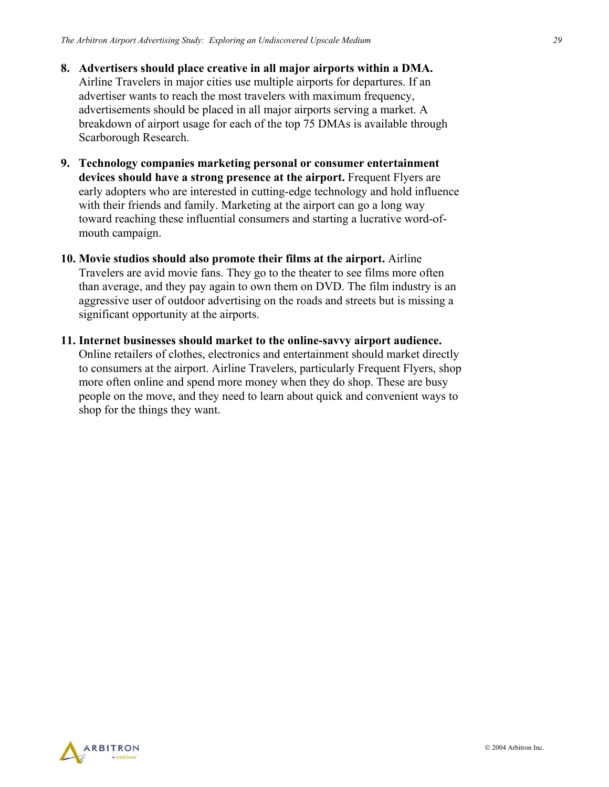- **8. Advertisers should place creative in all major airports within a DMA.** Airline Travelers in major cities use multiple airports for departures. If an advertiser wants to reach the most travelers with maximum frequency, advertisements should be placed in all major airports serving a market. A breakdown of airport usage for each of the top 75 DMAs is available through Scarborough Research.
- **9. Technology companies marketing personal or consumer entertainment devices should have a strong presence at the airport.** Frequent Flyers are early adopters who are interested in cutting-edge technology and hold influence with their friends and family. Marketing at the airport can go a long way toward reaching these influential consumers and starting a lucrative word-ofmouth campaign.
- **10. Movie studios should also promote their films at the airport.** Airline Travelers are avid movie fans. They go to the theater to see films more often than average, and they pay again to own them on DVD. The film industry is an aggressive user of outdoor advertising on the roads and streets but is missing a significant opportunity at the airports.
- **11. Internet businesses should market to the online-savvy airport audience.** Online retailers of clothes, electronics and entertainment should market directly to consumers at the airport. Airline Travelers, particularly Frequent Flyers, shop more often online and spend more money when they do shop. These are busy people on the move, and they need to learn about quick and convenient ways to shop for the things they want.

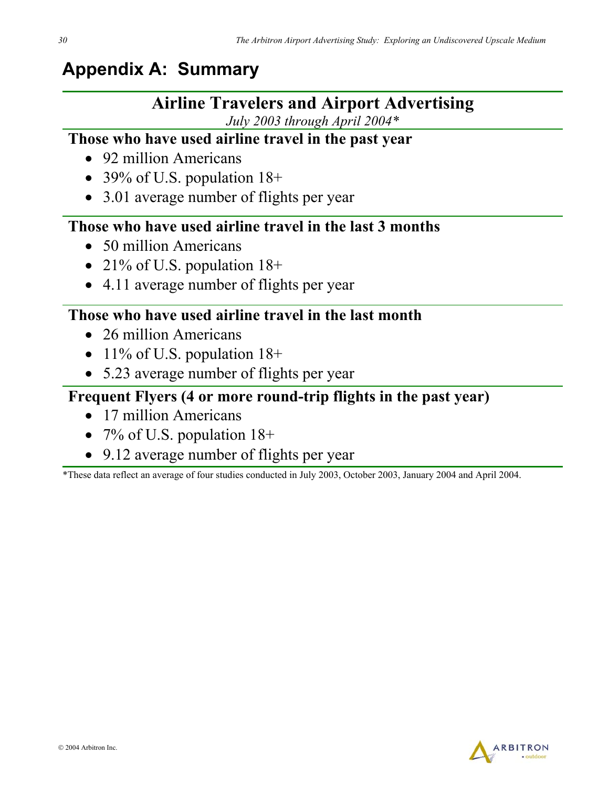## **Appendix A: Summary**

## **Airline Travelers and Airport Advertising**

*July 2003 through April 2004\** 

## **Those who have used airline travel in the past year**

- 92 million Americans
- 39% of U.S. population 18+
- 3.01 average number of flights per year

## **Those who have used airline travel in the last 3 months**

- 50 million Americans
- 21% of U.S. population 18+
- 4.11 average number of flights per year

## **Those who have used airline travel in the last month**

- 26 million Americans
- 11% of U.S. population 18+
- 5.23 average number of flights per year

## **Frequent Flyers (4 or more round-trip flights in the past year)**

- 17 million Americans
- 7% of U.S. population  $18+$
- 9.12 average number of flights per year

\*These data reflect an average of four studies conducted in July 2003, October 2003, January 2004 and April 2004.

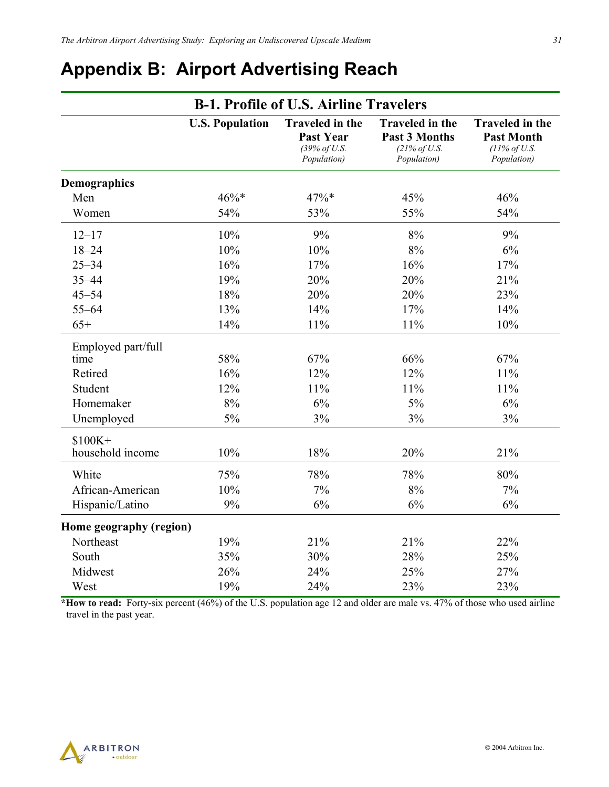## **Appendix B: Airport Advertising Reach**

| <b>B-1. Profile of U.S. Airline Travelers</b> |                        |                                                                           |                                                                                           |                                                                                        |
|-----------------------------------------------|------------------------|---------------------------------------------------------------------------|-------------------------------------------------------------------------------------------|----------------------------------------------------------------------------------------|
|                                               | <b>U.S. Population</b> | <b>Traveled in the</b><br><b>Past Year</b><br>(39% of U.S.<br>Population) | <b>Traveled in the</b><br><b>Past 3 Months</b><br>$(21\% \text{ of } U.S.$<br>Population) | <b>Traveled in the</b><br><b>Past Month</b><br>$(11\% \text{ of } U.S.$<br>Population) |
| <b>Demographics</b>                           |                        |                                                                           |                                                                                           |                                                                                        |
| Men                                           | $46\%*$                | 47%*                                                                      | 45%                                                                                       | 46%                                                                                    |
| Women                                         | 54%                    | 53%                                                                       | 55%                                                                                       | 54%                                                                                    |
| $12 - 17$                                     | 10%                    | 9%                                                                        | 8%                                                                                        | 9%                                                                                     |
| $18 - 24$                                     | 10%                    | 10%                                                                       | 8%                                                                                        | 6%                                                                                     |
| $25 - 34$                                     | 16%                    | 17%                                                                       | 16%                                                                                       | 17%                                                                                    |
| $35 - 44$                                     | 19%                    | 20%                                                                       | 20%                                                                                       | 21%                                                                                    |
| $45 - 54$                                     | 18%                    | 20%                                                                       | 20%                                                                                       | 23%                                                                                    |
| $55 - 64$                                     | 13%                    | 14%                                                                       | 17%                                                                                       | 14%                                                                                    |
| $65+$                                         | 14%                    | 11%                                                                       | 11%                                                                                       | 10%                                                                                    |
| Employed part/full<br>time                    | 58%                    | 67%                                                                       | 66%                                                                                       | 67%                                                                                    |
| Retired                                       | 16%                    | 12%                                                                       | 12%                                                                                       | 11%                                                                                    |
| Student                                       | 12%                    | 11%                                                                       | 11%                                                                                       | 11%                                                                                    |
| Homemaker                                     | 8%                     | 6%                                                                        | 5%                                                                                        | 6%                                                                                     |
| Unemployed                                    | 5%                     | 3%                                                                        | 3%                                                                                        | 3%                                                                                     |
| $$100K+$<br>household income                  | 10%                    | 18%                                                                       | 20%                                                                                       | 21%                                                                                    |
| White                                         | 75%                    | 78%                                                                       | 78%                                                                                       | 80%                                                                                    |
| African-American                              | 10%                    | 7%                                                                        | 8%                                                                                        | 7%                                                                                     |
| Hispanic/Latino                               | 9%                     | 6%                                                                        | 6%                                                                                        | 6%                                                                                     |
| Home geography (region)                       |                        |                                                                           |                                                                                           |                                                                                        |
| Northeast                                     | 19%                    | 21%                                                                       | 21%                                                                                       | 22%                                                                                    |
| South                                         | 35%                    | 30%                                                                       | 28%                                                                                       | 25%                                                                                    |
| Midwest                                       | 26%                    | 24%                                                                       | 25%                                                                                       | 27%                                                                                    |
| West                                          | 19%                    | 24%                                                                       | 23%                                                                                       | 23%                                                                                    |

**\*How to read:** Forty-six percent (46%) of the U.S. population age 12 and older are male vs. 47% of those who used airline travel in the past year.

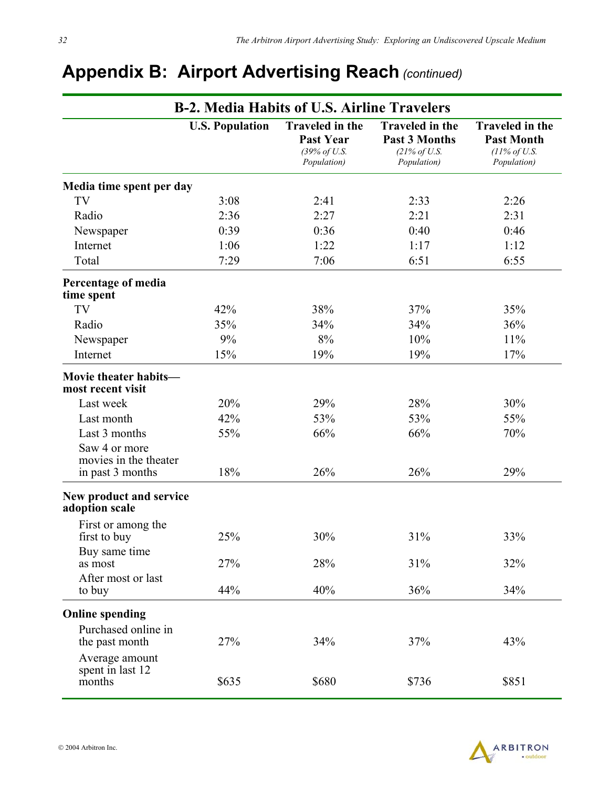|                                                            | <b>B-2. Media Habits of U.S. Airline Travelers</b> |                                                                           |                                                                                           |                                                                                        |
|------------------------------------------------------------|----------------------------------------------------|---------------------------------------------------------------------------|-------------------------------------------------------------------------------------------|----------------------------------------------------------------------------------------|
|                                                            | <b>U.S. Population</b>                             | <b>Traveled in the</b><br><b>Past Year</b><br>(39% of U.S.<br>Population) | <b>Traveled in the</b><br><b>Past 3 Months</b><br>$(21\% \text{ of } U.S.$<br>Population) | <b>Traveled in the</b><br><b>Past Month</b><br>$(11\% \text{ of } U.S.$<br>Population) |
| Media time spent per day                                   |                                                    |                                                                           |                                                                                           |                                                                                        |
| TV                                                         | 3:08                                               | 2:41                                                                      | 2:33                                                                                      | 2:26                                                                                   |
| Radio                                                      | 2:36                                               | 2:27                                                                      | 2:21                                                                                      | 2:31                                                                                   |
| Newspaper                                                  | 0:39                                               | 0:36                                                                      | 0:40                                                                                      | 0:46                                                                                   |
| Internet                                                   | 1:06                                               | 1:22                                                                      | 1:17                                                                                      | 1:12                                                                                   |
| Total                                                      | 7:29                                               | 7:06                                                                      | 6:51                                                                                      | 6:55                                                                                   |
| Percentage of media<br>time spent                          |                                                    |                                                                           |                                                                                           |                                                                                        |
| TV                                                         | 42%                                                | 38%                                                                       | 37%                                                                                       | 35%                                                                                    |
| Radio                                                      | 35%                                                | 34%                                                                       | 34%                                                                                       | 36%                                                                                    |
| Newspaper                                                  | 9%                                                 | 8%                                                                        | 10%                                                                                       | 11%                                                                                    |
| Internet                                                   | 15%                                                | 19%                                                                       | 19%                                                                                       | 17%                                                                                    |
| Movie theater habits-<br>most recent visit                 |                                                    |                                                                           |                                                                                           |                                                                                        |
| Last week                                                  | 20%                                                | 29%                                                                       | 28%                                                                                       | 30%                                                                                    |
| Last month                                                 | 42%                                                | 53%                                                                       | 53%                                                                                       | 55%                                                                                    |
| Last 3 months                                              | 55%                                                | 66%                                                                       | 66%                                                                                       | 70%                                                                                    |
| Saw 4 or more<br>movies in the theater<br>in past 3 months | 18%                                                | 26%                                                                       | 26%                                                                                       | 29%                                                                                    |
| New product and service<br>adoption scale                  |                                                    |                                                                           |                                                                                           |                                                                                        |
| First or among the<br>first to buy                         | 25%                                                | 30%                                                                       | 31%                                                                                       | 33%                                                                                    |
| Buy same time<br>as most                                   | 27%                                                | 28%                                                                       | 31%                                                                                       | 32%                                                                                    |
| After most or last<br>to buy                               | 44%                                                | 40%                                                                       | 36%                                                                                       | 34%                                                                                    |
| <b>Online spending</b>                                     |                                                    |                                                                           |                                                                                           |                                                                                        |
| Purchased online in<br>the past month                      | 27%                                                | 34%                                                                       | 37%                                                                                       | 43%                                                                                    |
| Average amount<br>spent in last 12<br>months               | \$635                                              | \$680                                                                     | \$736                                                                                     | \$851                                                                                  |

## **Appendix B: Airport Advertising Reach** *(continued)*

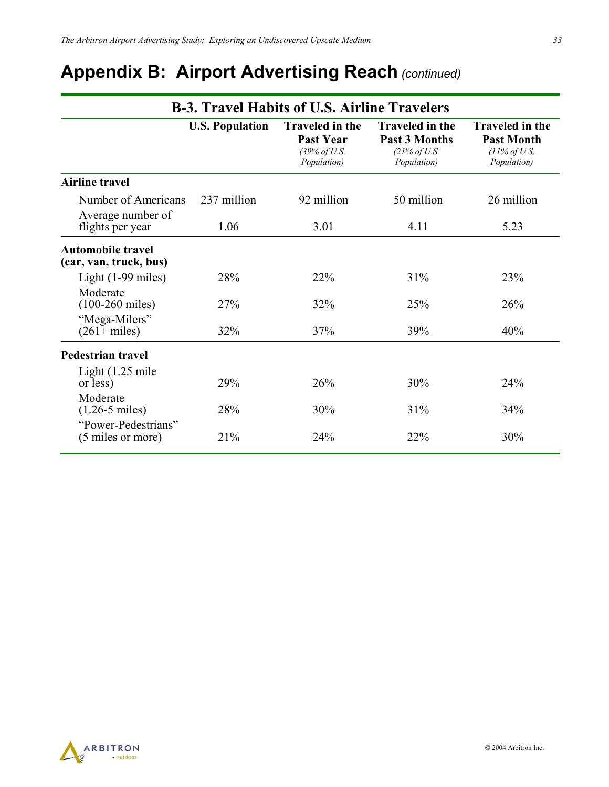## **Appendix B: Airport Advertising Reach** *(continued)*

| <b>B-3. Travel Habits of U.S. Airline Travelers</b>    |                        |                                                                           |                                                                                           |                                                                                        |
|--------------------------------------------------------|------------------------|---------------------------------------------------------------------------|-------------------------------------------------------------------------------------------|----------------------------------------------------------------------------------------|
|                                                        | <b>U.S. Population</b> | <b>Traveled in the</b><br><b>Past Year</b><br>(39% of U.S.<br>Population) | <b>Traveled in the</b><br><b>Past 3 Months</b><br>$(21\% \text{ of } U.S.$<br>Population) | <b>Traveled in the</b><br><b>Past Month</b><br>$(11\% \text{ of } U.S.$<br>Population) |
| <b>Airline travel</b>                                  |                        |                                                                           |                                                                                           |                                                                                        |
| Number of Americans<br>Average number of               | 237 million            | 92 million                                                                | 50 million                                                                                | 26 million                                                                             |
| flights per year                                       | 1.06                   | 3.01                                                                      | 4.11                                                                                      | 5.23                                                                                   |
| <b>Automobile travel</b><br>(car, van, truck, bus)     |                        |                                                                           |                                                                                           |                                                                                        |
| Light $(1-99 \text{ miles})$                           | 28%                    | 22%                                                                       | 31%                                                                                       | 23%                                                                                    |
| Moderate<br>$(100-260 \text{ miles})$<br>"Mega-Milers" | 27%                    | 32%                                                                       | 25%                                                                                       | 26%                                                                                    |
| $(261 + miles)$                                        | 32%                    | 37%                                                                       | 39%                                                                                       | 40%                                                                                    |
| <b>Pedestrian travel</b>                               |                        |                                                                           |                                                                                           |                                                                                        |
| Light $(1.25 \text{ mile})$<br>or less)                | 29%                    | 26%                                                                       | 30%                                                                                       | 24%                                                                                    |
| Moderate<br>$(1.26 - 5 \text{ miles})$                 | 28%                    | 30%                                                                       | 31%                                                                                       | 34%                                                                                    |
| "Power-Pedestrians"<br>(5 miles or more)               | 21%                    | 24%                                                                       | 22%                                                                                       | 30%                                                                                    |



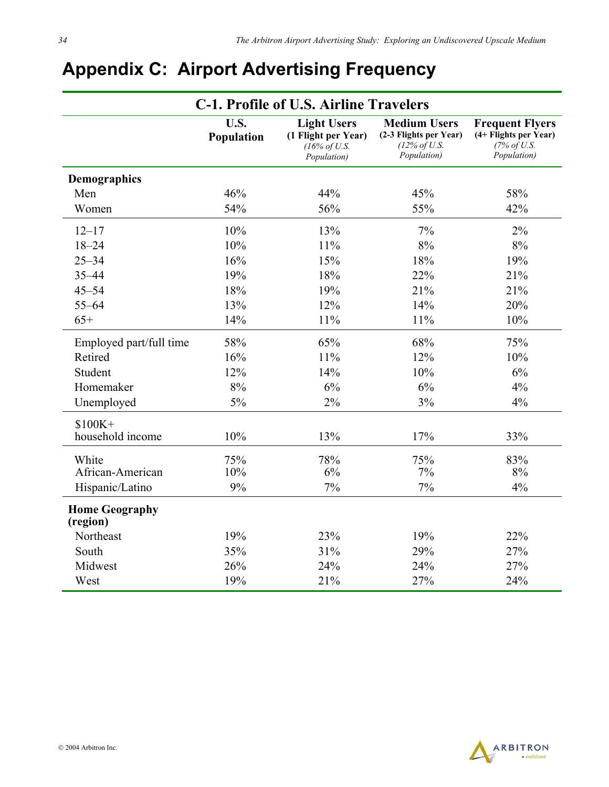| <b>C-1. Profile of U.S. Airline Travelers</b> |                    |                                                                                      |                                                                                          |                                                                               |
|-----------------------------------------------|--------------------|--------------------------------------------------------------------------------------|------------------------------------------------------------------------------------------|-------------------------------------------------------------------------------|
|                                               | U.S.<br>Population | <b>Light Users</b><br>(1 Flight per Year)<br>$(16\% \text{ of } U.S.$<br>Population) | <b>Medium Users</b><br>(2-3 Flights per Year)<br>$(12\% \text{ of } U.S.$<br>Population) | <b>Frequent Flyers</b><br>(4+ Flights per Year)<br>(7% of U.S.<br>Population) |
| Demographics                                  |                    |                                                                                      |                                                                                          |                                                                               |
| Men                                           | 46%                | 44%                                                                                  | 45%                                                                                      | 58%                                                                           |
| Women                                         | 54%                | 56%                                                                                  | 55%                                                                                      | 42%                                                                           |
| $12 - 17$                                     | 10%                | 13%                                                                                  | 7%                                                                                       | 2%                                                                            |
| $18 - 24$                                     | 10%                | 11%                                                                                  | 8%                                                                                       | 8%                                                                            |
| $25 - 34$                                     | 16%                | 15%                                                                                  | 18%                                                                                      | 19%                                                                           |
| $35 - 44$                                     | 19%                | 18%                                                                                  | 22%                                                                                      | 21%                                                                           |
| $45 - 54$                                     | 18%                | 19%                                                                                  | 21%                                                                                      | 21%                                                                           |
| $55 - 64$                                     | 13%                | 12%                                                                                  | 14%                                                                                      | 20%                                                                           |
| $65+$                                         | 14%                | 11%                                                                                  | 11%                                                                                      | 10%                                                                           |
| Employed part/full time                       | 58%                | 65%                                                                                  | 68%                                                                                      | 75%                                                                           |
| Retired                                       | 16%                | 11%                                                                                  | 12%                                                                                      | 10%                                                                           |
| Student                                       | 12%                | 14%                                                                                  | 10%                                                                                      | 6%                                                                            |
| Homemaker                                     | 8%                 | 6%                                                                                   | 6%                                                                                       | 4%                                                                            |
| Unemployed                                    | 5%                 | 2%                                                                                   | 3%                                                                                       | 4%                                                                            |
| $$100K+$                                      |                    |                                                                                      |                                                                                          |                                                                               |
| household income                              | 10%                | 13%                                                                                  | 17%                                                                                      | 33%                                                                           |
| White                                         | 75%                | 78%                                                                                  | 75%                                                                                      | 83%                                                                           |
| African-American                              | 10%                | 6%                                                                                   | 7%                                                                                       | 8%                                                                            |
| Hispanic/Latino                               | 9%                 | 7%                                                                                   | 7%                                                                                       | 4%                                                                            |
| <b>Home Geography</b><br>(region)             |                    |                                                                                      |                                                                                          |                                                                               |
| Northeast                                     | 19%                | 23%                                                                                  | 19%                                                                                      | 22%                                                                           |
| South                                         | 35%                | 31%                                                                                  | 29%                                                                                      | 27%                                                                           |
| Midwest                                       | 26%                | 24%                                                                                  | 24%                                                                                      | 27%                                                                           |
| West                                          | 19%                | 21%                                                                                  | 27%                                                                                      | 24%                                                                           |

## **Appendix C: Airport Advertising Frequency**

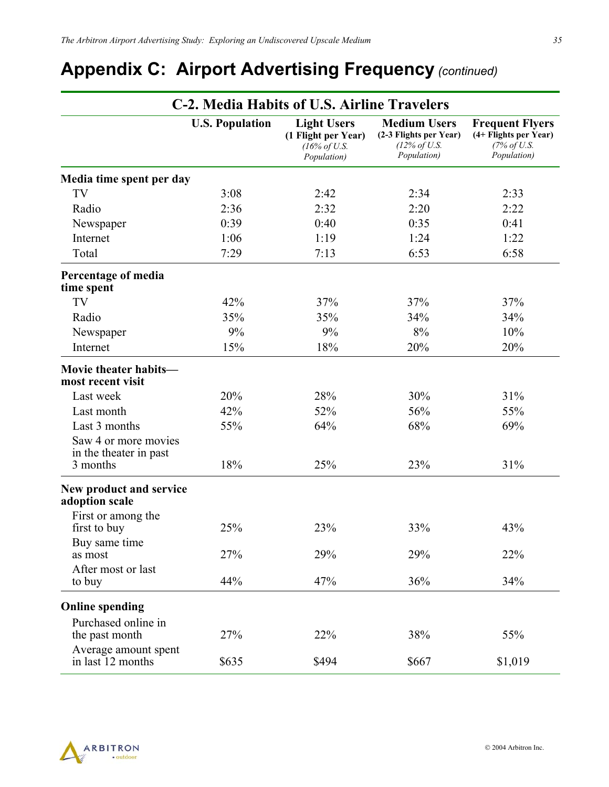## **Appendix C: Airport Advertising Frequency** *(continued)*

|                                                            | C-2. Media Habits of U.S. Airline Travelers |                                                                                      |                                                                                          |                                                                               |
|------------------------------------------------------------|---------------------------------------------|--------------------------------------------------------------------------------------|------------------------------------------------------------------------------------------|-------------------------------------------------------------------------------|
|                                                            | <b>U.S. Population</b>                      | <b>Light Users</b><br>(1 Flight per Year)<br>$(16\% \text{ of } U.S.$<br>Population) | <b>Medium Users</b><br>(2-3 Flights per Year)<br>$(12\% \text{ of } U.S.$<br>Population) | <b>Frequent Flyers</b><br>(4+ Flights per Year)<br>(7% of U.S.<br>Population) |
| Media time spent per day                                   |                                             |                                                                                      |                                                                                          |                                                                               |
| TV                                                         | 3:08                                        | 2:42                                                                                 | 2:34                                                                                     | 2:33                                                                          |
| Radio                                                      | 2:36                                        | 2:32                                                                                 | 2:20                                                                                     | 2:22                                                                          |
| Newspaper                                                  | 0:39                                        | 0:40                                                                                 | 0:35                                                                                     | 0:41                                                                          |
| Internet                                                   | 1:06                                        | 1:19                                                                                 | 1:24                                                                                     | 1:22                                                                          |
| Total                                                      | 7:29                                        | 7:13                                                                                 | 6:53                                                                                     | 6:58                                                                          |
| Percentage of media<br>time spent                          |                                             |                                                                                      |                                                                                          |                                                                               |
| TV                                                         | 42%                                         | 37%                                                                                  | 37%                                                                                      | 37%                                                                           |
| Radio                                                      | 35%                                         | 35%                                                                                  | 34%                                                                                      | 34%                                                                           |
| Newspaper                                                  | 9%                                          | 9%                                                                                   | 8%                                                                                       | 10%                                                                           |
| Internet                                                   | 15%                                         | 18%                                                                                  | 20%                                                                                      | 20%                                                                           |
| Movie theater habits-<br>most recent visit                 |                                             |                                                                                      |                                                                                          |                                                                               |
| Last week                                                  | 20%                                         | 28%                                                                                  | 30%                                                                                      | 31%                                                                           |
| Last month                                                 | 42%                                         | 52%                                                                                  | 56%                                                                                      | 55%                                                                           |
| Last 3 months                                              | 55%                                         | 64%                                                                                  | 68%                                                                                      | 69%                                                                           |
| Saw 4 or more movies<br>in the theater in past<br>3 months | 18%                                         | 25%                                                                                  | 23%                                                                                      | 31%                                                                           |
| New product and service<br>adoption scale                  |                                             |                                                                                      |                                                                                          |                                                                               |
| First or among the<br>first to buy                         | 25%                                         | 23%                                                                                  | 33%                                                                                      | 43%                                                                           |
| Buy same time<br>as most                                   | 27%                                         | 29%                                                                                  | 29%                                                                                      | 22%                                                                           |
| After most or last<br>to buy                               | 44%                                         | 47%                                                                                  | 36%                                                                                      | 34%                                                                           |
| <b>Online spending</b>                                     |                                             |                                                                                      |                                                                                          |                                                                               |
| Purchased online in<br>the past month                      | 27%                                         | 22%                                                                                  | 38%                                                                                      | 55%                                                                           |
| Average amount spent<br>in last 12 months                  | \$635                                       | \$494                                                                                | \$667                                                                                    | \$1,019                                                                       |

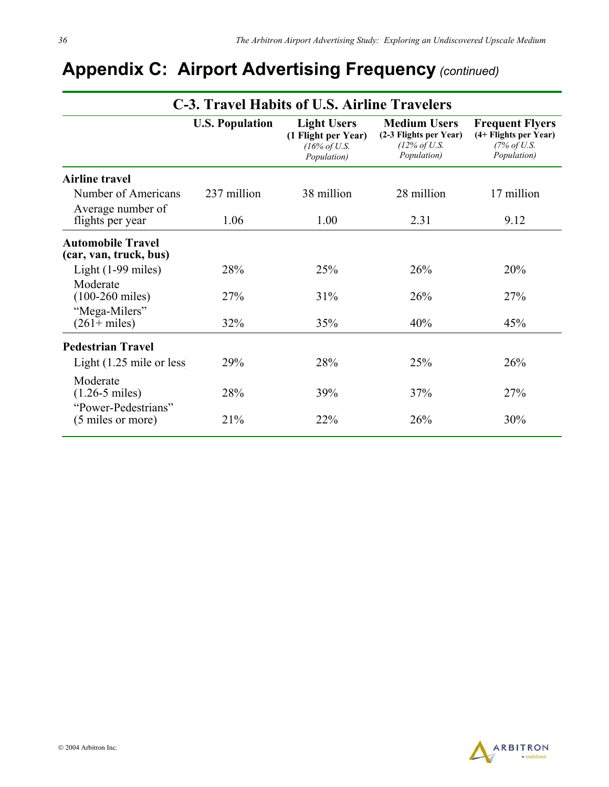| C-3. Travel Habits of U.S. Airline Travelers       |                        |                                                                                      |                                                                                          |                                                                                           |
|----------------------------------------------------|------------------------|--------------------------------------------------------------------------------------|------------------------------------------------------------------------------------------|-------------------------------------------------------------------------------------------|
|                                                    | <b>U.S. Population</b> | <b>Light Users</b><br>(1 Flight per Year)<br>$(16\% \text{ of } U.S.$<br>Population) | <b>Medium Users</b><br>(2-3 Flights per Year)<br>$(12\% \text{ of } U.S.$<br>Population) | <b>Frequent Flyers</b><br>(4+ Flights per Year)<br>$(7\% \text{ of } U.S.$<br>Population) |
| <b>Airline travel</b>                              |                        |                                                                                      |                                                                                          |                                                                                           |
| Number of Americans                                | 237 million            | 38 million                                                                           | 28 million                                                                               | 17 million                                                                                |
| Average number of<br>flights per year              | 1.06                   | 1.00                                                                                 | 2.31                                                                                     | 9.12                                                                                      |
| <b>Automobile Travel</b><br>(car, van, truck, bus) |                        |                                                                                      |                                                                                          |                                                                                           |
| Light $(1-99 \text{ miles})$                       | 28%                    | 25%                                                                                  | 26%                                                                                      | 20%                                                                                       |
| Moderate<br>$(100-260 \text{ miles})$              | 27%                    | 31%                                                                                  | 26%                                                                                      | 27%                                                                                       |
| "Mega-Milers"<br>$(261 + miles)$                   | 32%                    | 35%                                                                                  | 40%                                                                                      | 45%                                                                                       |
| <b>Pedestrian Travel</b>                           |                        |                                                                                      |                                                                                          |                                                                                           |
| Light $(1.25 \text{ mile or less})$                | 29%                    | 28%                                                                                  | 25%                                                                                      | 26%                                                                                       |
| Moderate<br>$(1.26 - 5 \text{ miles})$             | 28%                    | 39%                                                                                  | 37%                                                                                      | 27%                                                                                       |
| "Power-Pedestrians"<br>(5 miles or more)           | 21%                    | 22%                                                                                  | 26%                                                                                      | 30%                                                                                       |

## **Appendix C: Airport Advertising Frequency** *(continued)*

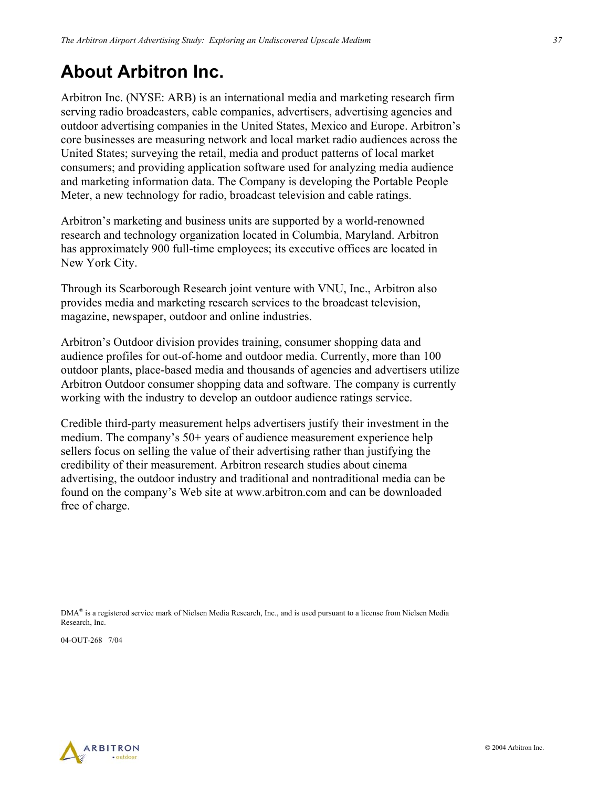## **About Arbitron Inc.**

Arbitron Inc. (NYSE: ARB) is an international media and marketing research firm serving radio broadcasters, cable companies, advertisers, advertising agencies and outdoor advertising companies in the United States, Mexico and Europe. Arbitron's core businesses are measuring network and local market radio audiences across the United States; surveying the retail, media and product patterns of local market consumers; and providing application software used for analyzing media audience and marketing information data. The Company is developing the Portable People Meter, a new technology for radio, broadcast television and cable ratings.

Arbitron's marketing and business units are supported by a world-renowned research and technology organization located in Columbia, Maryland. Arbitron has approximately 900 full-time employees; its executive offices are located in New York City.

Through its Scarborough Research joint venture with VNU, Inc., Arbitron also provides media and marketing research services to the broadcast television, magazine, newspaper, outdoor and online industries.

Arbitron's Outdoor division provides training, consumer shopping data and audience profiles for out-of-home and outdoor media. Currently, more than 100 outdoor plants, place-based media and thousands of agencies and advertisers utilize Arbitron Outdoor consumer shopping data and software. The company is currently working with the industry to develop an outdoor audience ratings service.

Credible third-party measurement helps advertisers justify their investment in the medium. The company's 50+ years of audience measurement experience help sellers focus on selling the value of their advertising rather than justifying the credibility of their measurement. Arbitron research studies about cinema advertising, the outdoor industry and traditional and nontraditional media can be found on the company's Web site at www.arbitron.com and can be downloaded free of charge.

DMA® is a registered service mark of Nielsen Media Research, Inc., and is used pursuant to a license from Nielsen Media Research, Inc.

04-OUT-268 7/04